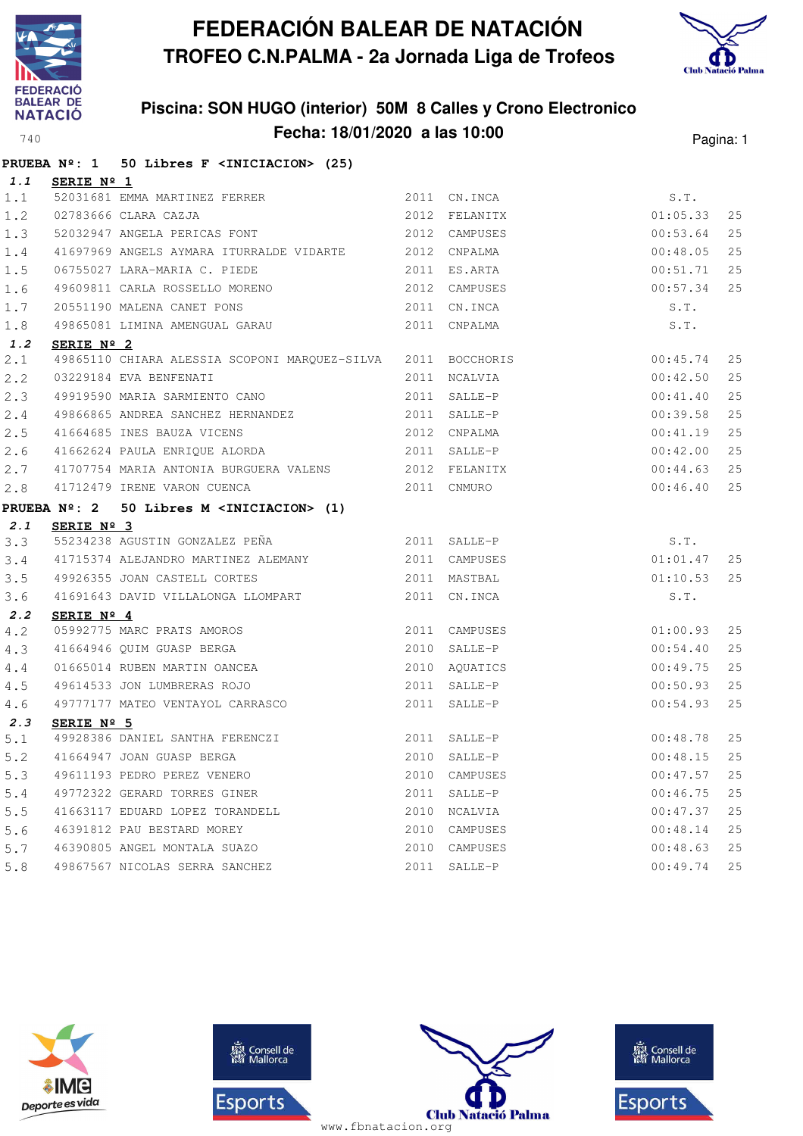



|       |            | PRUEBA Nº: 1 50 Libres F <iniciacion> (25)</iniciacion>                                                                |      |              |             |      |
|-------|------------|------------------------------------------------------------------------------------------------------------------------|------|--------------|-------------|------|
| 1.1   | SERIE Nº 1 |                                                                                                                        |      |              |             |      |
| 1.1   |            |                                                                                                                        |      |              | S.T.        |      |
| 1.2   |            |                                                                                                                        |      |              | 01:05.33    | 25   |
| 1.3   |            | 52031681 EMMA MARTINEZ FERRER<br>02783666 CLARA CAZJA 1999 2012 FELANITX<br>52032947 ANGELA PERICAS FONT 2012 CAMPUSES |      |              | 00:53.64    | 25   |
| 1.4   |            | 41697969 ANGELS AYMARA ITURRALDE VIDARTE 2012 CNPALMA                                                                  |      |              | 00:48.05    | 25   |
| 1.5   |            | 06755027 LARA-MARIA C. PIEDE 2011 ES.ARTA                                                                              |      |              | 00:51.71    | 25   |
| 1.6   |            | 49609811 CARLA ROSSELLO MORENO 2012 CAMPUSES                                                                           |      | 00:57.34     |             | 25   |
| 1.7   |            |                                                                                                                        |      |              | S.T.        |      |
| 1.8   |            | 20551190 MALENA CANET PONS 2011 CN.INCA<br>49865081 LIMINA AMENGUAL GARAU 2011 CNPALMA                                 |      |              | S.T.        |      |
| 1.2   | SERIE Nº 2 |                                                                                                                        |      |              |             |      |
| 2.1   |            | 49865110 CHIARA ALESSIA SCOPONI MARQUEZ-SILVA 2011 BOCCHORIS 00:45.74                                                  |      |              |             | 25   |
| 2.2   |            |                                                                                                                        |      |              | 00:42.50    | 25   |
| 2.3   |            |                                                                                                                        |      |              | 00:41.40    | 25   |
| 2.4   |            | 49866865 ANDREA SANCHEZ HERNANDEZ 2011 SALLE-P                                                                         |      |              | 00:39.58    | 25   |
| 2.5   |            | 41664685 INES BAUZA VICENS 2012 CNPALMA                                                                                |      |              | 00:41.19    | 25   |
| 2.6   |            | 41662624 PAULA ENRIQUE ALORDA (2011 SALLE-P                                                                            |      |              | 00:42.00    | 25   |
| 2.7   |            | 41707754 MARIA ANTONIA BURGUERA VALENS 2012 FELANITX                                                                   |      |              | 00:44.63    | 25   |
| 2.8   |            | 41712479 IRENE VARON CUENCA                                                                                            |      | 2011 CNMURO  | 00:46.40    | 25   |
|       |            | PRUEBA Nº: 2 50 Libres M <iniciacion> (1)</iniciacion>                                                                 |      |              |             |      |
| 2.1   | SERIE Nº 3 |                                                                                                                        |      |              |             |      |
| 3.3   |            | 55234238 AGUSTIN GONZALEZ PEÑA $2011$ SALLE-P                                                                          |      |              | S.T.        |      |
| 3.4   |            |                                                                                                                        |      |              | 01:01.47    | 25   |
| 3.5   |            | 49926355 JOAN CASTELL CORTES 2011 MASTBAL                                                                              |      | 01:10.53     |             | 25   |
| 3.6   |            | 41691643 DAVID VILLALONGA LLOMPART 2011 CN.INCA                                                                        |      |              | S.T.        |      |
| 2.2   | SERIE Nº 4 |                                                                                                                        |      |              |             |      |
| 4.2   |            |                                                                                                                        |      |              | $01$ :00.93 | 25   |
| 4.3   |            | 05992775 MARC PRATS AMOROS<br>41664946 QUIM GUASP BERGA 2010 SALLE-P<br>01665014 RUBEN MARTIN OANCEA 2010 AQUATICS     |      |              | 00:54.40    | 25   |
| 4.4   |            |                                                                                                                        |      |              | 00:49.75    | 25   |
| 4.5   |            | 49614533 JON LUMBRERAS ROJO 2011 SALLE-P                                                                               |      |              | 00:50.93    | 25   |
| $4.6$ |            | 49777177 MATEO VENTAYOL CARRASCO                                                                                       |      | 2011 SALLE-P | 00:54.93    | 25   |
| 2.3   | SERIE Nº 5 |                                                                                                                        |      |              |             |      |
| 5.1   |            |                                                                                                                        |      |              | 00:48.78    | 25   |
| 5.2   |            |                                                                                                                        |      |              | 00:48.15    | $25$ |
| 5.3   |            | 49611193 PEDRO PEREZ VENERO                                                                                            | 2010 | CAMPUSES     | 00:47.57    | 25   |
| 5.4   |            | 49772322 GERARD TORRES GINER                                                                                           | 2011 | SALLE-P      | 00:46.75    | 25   |
| 5.5   |            | 41663117 EDUARD LOPEZ TORANDELL                                                                                        |      | 2010 NCALVIA | 00:47.37    | 25   |
| 5.6   |            | 46391812 PAU BESTARD MOREY                                                                                             | 2010 | CAMPUSES     | 00:48.14    | 25   |
| 5.7   |            | 46390805 ANGEL MONTALA SUAZO                                                                                           | 2010 | CAMPUSES     | 00:48.63    | 25   |
| 5.8   |            | 49867567 NICOLAS SERRA SANCHEZ                                                                                         |      | 2011 SALLE-P | 00:49.74    | 25   |







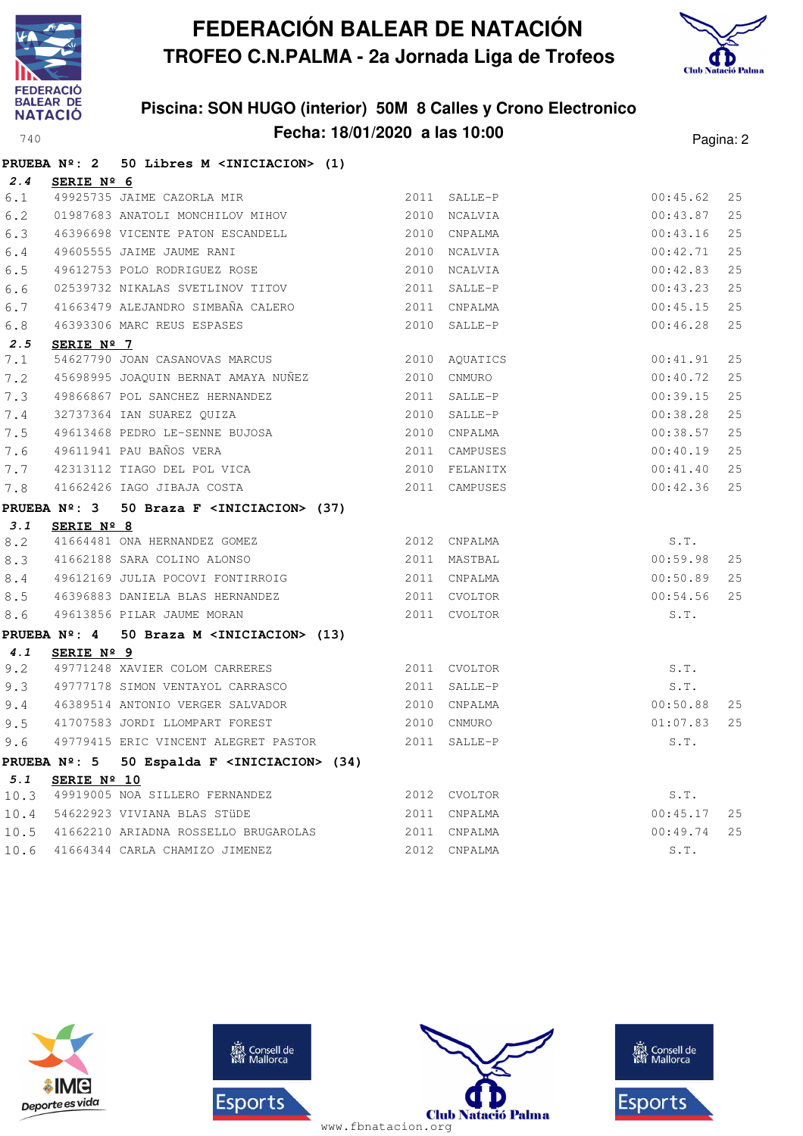



|      |                     | PRUEBA Nº: 2 50 Libres M <iniciacion> (1)</iniciacion>   |               |               |          |    |
|------|---------------------|----------------------------------------------------------|---------------|---------------|----------|----|
| 2.4  | SERIE Nº 6          |                                                          |               |               |          |    |
| 6.1  |                     | 49925735 JAIME CAZORLA MIR                               |               | 2011 SALLE-P  | 00:45.62 | 25 |
| 6.2  |                     |                                                          |               |               | 00:43.87 | 25 |
| 6.3  |                     | 46396698 VICENTE PATON ESCANDELL 2010 CNPALMA            |               |               | 00:43.16 | 25 |
| 6.4  |                     | 49605555 JAIME JAUME RANI                                |               | 2010 NCALVIA  | 00:42.71 | 25 |
| 6.5  |                     | 49612753 POLO RODRIGUEZ ROSE                             |               | 2010 NCALVIA  | 00:42.83 | 25 |
| 6.6  |                     | 02539732 NIKALAS SVETLINOV TITOV                         |               | 2011 SALLE-P  | 00:43.23 | 25 |
| 6.7  |                     | 41663479 ALEJANDRO SIMBAÑA CALERO                        |               | 2011 CNPALMA  | 00:45.15 | 25 |
| 6.8  |                     | 46393306 MARC REUS ESPASES                               |               | 2010 SALLE-P  | 00:46.28 | 25 |
| 2.5  | SERIE $N^{\circ}$ 7 |                                                          |               |               |          |    |
| 7.1  |                     | 54627790 JOAN CASANOVAS MARCUS                           |               | 2010 AQUATICS | 00:41.91 | 25 |
| 7.2  |                     | 45698995 JOAQUIN BERNAT AMAYA NUÑEZ 2010 CNMURO          |               |               | 00:40.72 | 25 |
| 7.3  |                     | 49866867 POL SANCHEZ HERNANDEZ                           |               | 2011 SALLE-P  | 00:39.15 | 25 |
| 7.4  |                     | 32737364 IAN SUAREZ QUIZA                                |               | 2010 SALLE-P  | 00:38.28 | 25 |
| 7.5  |                     | 49613468 PEDRO LE-SENNE BUJOSA                           |               | 2010 CNPALMA  | 00:38.57 | 25 |
| 7.6  |                     | 49611941 PAU BAÑOS VERA                                  | 2011 CAMPUSES |               | 00:40.19 | 25 |
| 7.7  |                     | 42313112 TIAGO DEL POL VICA 2010 FELANITX                |               |               | 00:41.40 | 25 |
| 7.8  |                     | 41662426 IAGO JIBAJA COSTA                               | 2011 CAMPUSES |               | 00:42.36 | 25 |
|      |                     | PRUEBA Nº: 3 50 Braza F <iniciacion> (37)</iniciacion>   |               |               |          |    |
| 3.1  | SERIE Nº 8          |                                                          |               |               |          |    |
| 8.2  |                     | 41664481 ONA HERNANDEZ GOMEZ                             |               | 2012 CNPALMA  | S.T.     |    |
| 8.3  |                     | 41662188 SARA COLINO ALONSO                              |               | 2011 MASTBAL  | 00:59.98 | 25 |
| 8.4  |                     | 49612169 JULIA POCOVI FONTIRROIG                         |               | 2011 CNPALMA  | 00:50.89 | 25 |
| 8.5  |                     | 46396883 DANIELA BLAS HERNANDEZ                          |               | 2011 CVOLTOR  | 00:54.56 | 25 |
| 8.6  |                     | 49613856 PILAR JAUME MORAN                               |               | 2011 CVOLTOR  | S.T.     |    |
|      |                     | PRUEBA Nº: 4 50 Braza M <iniciacion> (13)</iniciacion>   |               |               |          |    |
| 4.1  | SERIE Nº 9          |                                                          |               |               |          |    |
| 9.2  |                     | 49771248 XAVIER COLOM CARRERES 2011 CVOLTOR              |               |               | S.T.     |    |
| 9.3  |                     | 49777178 SIMON VENTAYOL CARRASCO                         | 2011 SALLE-P  |               | S.T.     |    |
| 9.4  |                     | 46389514 ANTONIO VERGER SALVADOR 2010 CNPALMA            |               |               | 00:50.88 | 25 |
| 9.5  |                     | 41707583 JORDI LLOMPART FOREST                           | 2010 CNMURO   |               | 01:07.83 | 25 |
| 9.6  |                     | 49779415 ERIC VINCENT ALEGRET PASTOR 2011 SALLE-P        |               |               | S.T.     |    |
|      |                     | PRUEBA Nº: 5 50 Espalda F <iniciacion> (34)</iniciacion> |               |               |          |    |
| 5.1  | SERIE Nº 10         |                                                          |               |               |          |    |
| 10.3 |                     | 49919005 NOA SILLERO FERNANDEZ                           |               | 2012 CVOLTOR  | S.T.     |    |
| 10.4 |                     | 54622923 VIVIANA BLAS STÜDE                              |               | 2011 CNPALMA  | 00:45.17 | 25 |
| 10.5 |                     | 41662210 ARIADNA ROSSELLO BRUGAROLAS                     |               | 2011 CNPALMA  | 00:49.74 | 25 |
| 10.6 |                     | 41664344 CARLA CHAMIZO JIMENEZ                           |               | 2012 CNPALMA  | S.T.     |    |







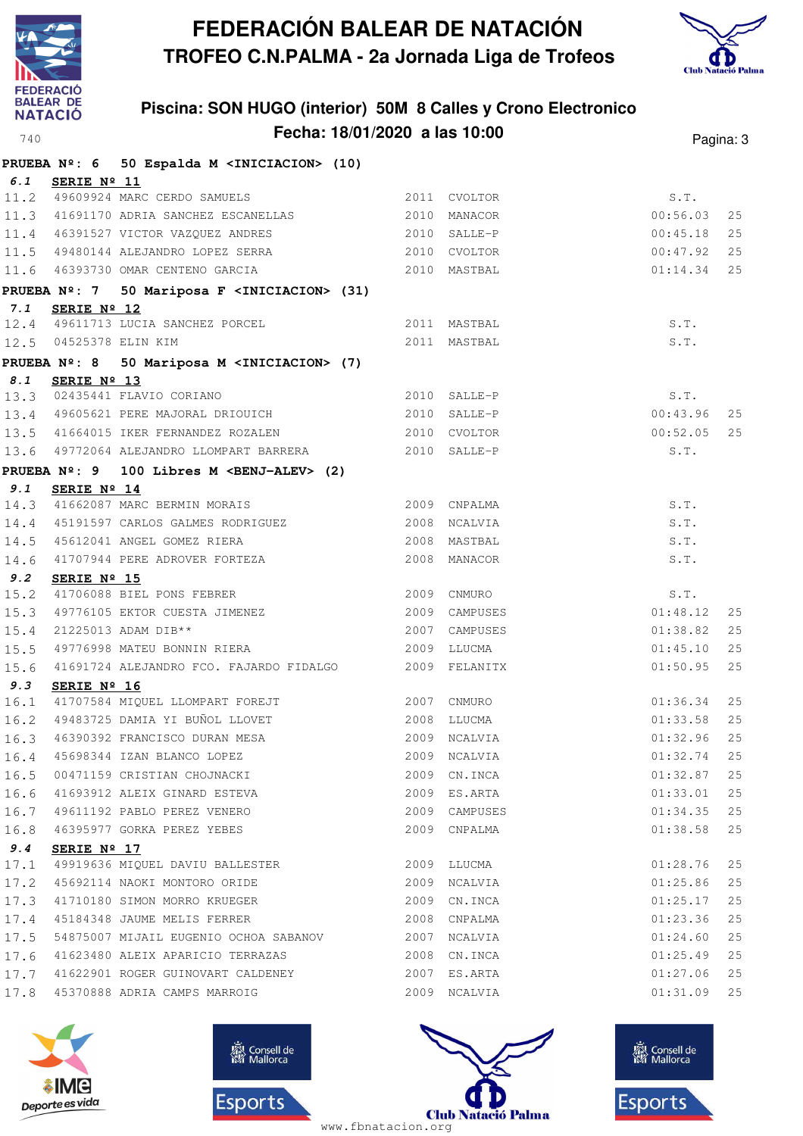



|              |                     | PRUEBA Nº: 6 50 Espalda M <iniciacion> (10)</iniciacion>                                                                  |      |               |          |    |
|--------------|---------------------|---------------------------------------------------------------------------------------------------------------------------|------|---------------|----------|----|
| 6.1          | SERIE Nº 11         |                                                                                                                           |      |               |          |    |
|              |                     | 11.2 49609924 MARC CERDO SAMUELS                                                                                          |      | 2011 CVOLTOR  | S.T.     |    |
| 11.3         |                     | 41691170 ADRIA SANCHEZ ESCANELLAS 2010 MANACOR                                                                            |      |               | 00:56.03 | 25 |
|              |                     | 11.4 46391527 VICTOR VAZQUEZ ANDRES 2010 SALLE-P                                                                          |      |               | 00:45.18 | 25 |
|              |                     | 11.5 49480144 ALEJANDRO LOPEZ SERRA 2010 CVOLTOR                                                                          |      |               | 00:47.92 | 25 |
|              |                     | 11.6 46393730 OMAR CENTENO GARCIA 6 2010 MASTBAL                                                                          |      |               | 01:14.34 | 25 |
|              |                     | PRUEBA Nº: 7 50 Mariposa F <iniciacion> (31)</iniciacion>                                                                 |      |               |          |    |
| 7.1          | SERIE Nº 12         |                                                                                                                           |      |               |          |    |
|              |                     | 12.4 49611713 LUCIA SANCHEZ PORCEL                                                                                        |      | 2011 MASTBAL  | S.T.     |    |
|              |                     | 12.5 04525378 ELIN KIM                                                                                                    |      | 2011 MASTBAL  | S.T.     |    |
|              | <b>PRUEBA Nº: 8</b> | 50 Mariposa M <iniciacion> (7)</iniciacion>                                                                               |      |               |          |    |
| 8.1          | SERIE Nº 13         |                                                                                                                           |      |               |          |    |
|              |                     | 13.3 02435441 FLAVIO CORIANO<br>13.4 49605621 PERE MAJORAL DRIOUICH                                                       |      | 2010 SALLE-P  | S.T.     |    |
|              |                     |                                                                                                                           |      | 2010 SALLE-P  | 00:43.96 | 25 |
|              |                     | 13.5 41664015 IKER FERNANDEZ ROZALEN 2010 CVOLTOR                                                                         |      |               | 00:52.05 | 25 |
|              |                     | 13.6 49772064 ALEJANDRO LLOMPART BARRERA 2010 SALLE-P                                                                     |      |               | S.T.     |    |
|              |                     | PRUEBA Nº: 9 100 Libres M <benj-alev> (2)</benj-alev>                                                                     |      |               |          |    |
| 9.1          | SERIE Nº 14         |                                                                                                                           |      |               |          |    |
| 14.3         |                     | 2009 CNPALMA<br>41662087 MARC BERMIN MORAIS                                                                               |      |               | S.T.     |    |
| 14.4         |                     | 45191597 CARLOS GALMES RODRIGUEZ 2008 NCALVIA                                                                             |      |               | S.T.     |    |
| 14.5         |                     |                                                                                                                           |      |               | S.T.     |    |
| 14.6         |                     |                                                                                                                           |      |               | S.T.     |    |
| 9.2          | SERIE Nº 15         |                                                                                                                           |      |               |          |    |
| 15.2         |                     | 41706088 BIEL PONS FEBRER 2009 CNMURO                                                                                     |      |               | S.T.     |    |
| 15.3         |                     | 49776105 EKTOR CUESTA JIMENEZ (2009 CAMPUSES 21225013 ADAM DIB** (2007 CAMPUSES 2007 CAMPUSES 49776998 MATEU BONNIN RIERA |      |               | 01:48.12 | 25 |
| 15.4         |                     |                                                                                                                           |      |               | 01:38.82 | 25 |
| 15.5         |                     |                                                                                                                           |      |               | 01:45.10 | 25 |
| 15.6         |                     | 41691724 ALEJANDRO FCO. FAJARDO FIDALGO<br>2009 FELANITX                                                                  |      |               | 01:50.95 | 25 |
| 9.3          | SERIE Nº 16         | 41707584 MIQUEL LLOMPART FOREJT 2007 CNMURO                                                                               |      |               | 01:36.34 | 25 |
| 16.1<br>16.2 |                     | 49483725 DAMIA YI BUÑOL LLOVET 2008 LLUCMA                                                                                |      |               | 01:33.58 | 25 |
| 16.3         |                     |                                                                                                                           |      | 2009 NCALVIA  | 01:32.96 | 25 |
|              |                     | 46390392 FRANCISCO DURAN MESA<br>45698344 IZAN BLANCO LOPEZ                                                               |      | 2009 NCALVIA  | 01:32.74 | 25 |
| 16.4<br>16.5 |                     | 00471159 CRISTIAN CHOJNACKI                                                                                               |      | 2009 CN.INCA  | 01:32.87 | 25 |
| 16.6         |                     | 41693912 ALEIX GINARD ESTEVA                                                                                              |      | 2009 ES.ARTA  | 01:33.01 | 25 |
| 16.7         |                     | 49611192 PABLO PEREZ VENERO                                                                                               |      | 2009 CAMPUSES | 01:34.35 | 25 |
| 16.8         |                     | 46395977 GORKA PEREZ YEBES                                                                                                | 2009 | CNPALMA       | 01:38.58 | 25 |
| 9.4          |                     |                                                                                                                           |      |               |          |    |
| 17.1         | SERIE Nº 17         | 49919636 MIQUEL DAVIU BALLESTER                                                                                           | 2009 | LLUCMA        | 01:28.76 | 25 |
| 17.2         |                     | 45692114 NAOKI MONTORO ORIDE                                                                                              |      | 2009 NCALVIA  | 01:25.86 | 25 |
| 17.3         |                     | 41710180 SIMON MORRO KRUEGER                                                                                              | 2009 | CN.INCA       | 01:25.17 | 25 |
| 17.4         |                     | 45184348 JAUME MELIS FERRER                                                                                               |      | 2008 CNPALMA  | 01:23.36 | 25 |
| 17.5         |                     | 54875007 MIJAIL EUGENIO OCHOA SABANOV                                                                                     |      | 2007 NCALVIA  | 01:24.60 | 25 |
| 17.6         |                     | 41623480 ALEIX APARICIO TERRAZAS                                                                                          |      | 2008 CN.INCA  | 01:25.49 | 25 |
| 17.7         |                     | 41622901 ROGER GUINOVART CALDENEY                                                                                         |      | 2007 ES.ARTA  | 01:27.06 | 25 |
| 17.8         |                     | 45370888 ADRIA CAMPS MARROIG                                                                                              |      | 2009 NCALVIA  | 01:31.09 | 25 |
|              |                     |                                                                                                                           |      |               |          |    |







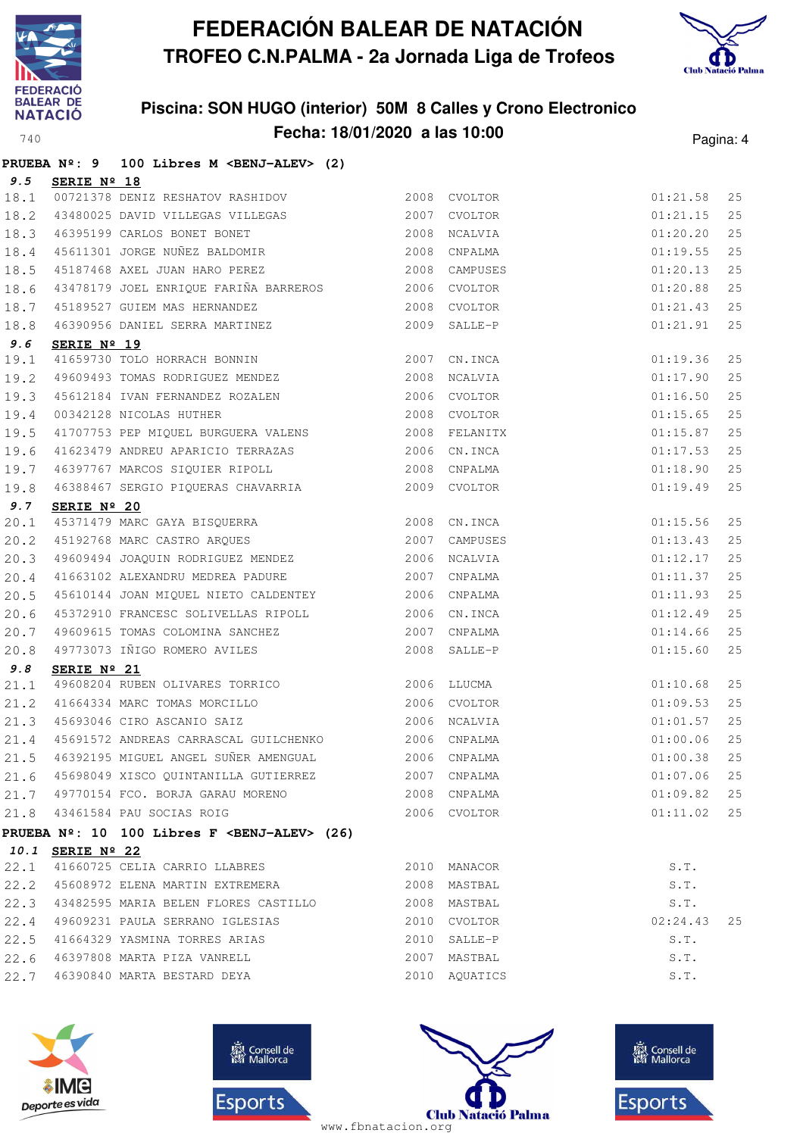



|      |                  | PRUEBA Nº: 9 100 Libres M <benj-alev> (2)</benj-alev>                                             |              |               |               |    |
|------|------------------|---------------------------------------------------------------------------------------------------|--------------|---------------|---------------|----|
| 9.5  | SERIE Nº 18      |                                                                                                   |              |               |               |    |
| 18.1 |                  | 00721378 DENIZ RESHATOV RASHIDOV<br>2008 CVOLTOR                                                  |              |               | 01:21.58      | 25 |
| 18.2 |                  | 43480025 DAVID VILLEGAS VILLEGAS 2007 CVOLTOR                                                     |              |               | 01:21.15      | 25 |
| 18.3 |                  | 46395199 CARLOS BONET BONET (2008 NCALVIA 45611301 JORGE NUÑEZ BALDOMIR (2008 CNPALMA             |              |               | 01:20.20      | 25 |
| 18.4 |                  |                                                                                                   |              |               | 01:19.55      | 25 |
| 18.5 |                  | 45187468 AXEL JUAN HARO PEREZ 2008 CAMPUSES                                                       |              |               | 01:20.13      | 25 |
| 18.6 |                  | 43478179 JOEL ENRIQUE FARIÑA BARREROS 2006 CVOLTOR                                                |              |               | 01:20.88      | 25 |
| 18.7 |                  | 45189527 GUIEM MAS HERNANDEZ<br>46390956 DANIEL SERRA MARTINEZ (2009 SALLE-P                      |              |               | 01:21.43      | 25 |
| 18.8 |                  |                                                                                                   |              |               | 01:21.91      | 25 |
| 9.6  | SERIE Nº 19      |                                                                                                   |              |               |               |    |
| 19.1 |                  | 41659730 TOLO HORRACH BONNIN 2007 CN.INCA                                                         |              |               | 01:19.36      | 25 |
| 19.2 |                  | 49609493 TOMAS RODRIGUEZ MENDEZ 2008 NCALVIA                                                      |              |               | 01:17.90      | 25 |
| 19.3 |                  | 45612184 IVAN FERNANDEZ ROZALEN 2006 CVOLTOR                                                      |              |               | 01:16.50      | 25 |
| 19.4 |                  | 00342128 NICOLAS HUTHER<br>41707753 PEP MIQUEL BURGUERA VALENS 2008 FELANITX                      |              |               | 01:15.65      | 25 |
| 19.5 |                  |                                                                                                   |              |               | 01:15.87      | 25 |
| 19.6 |                  | 41623479 ANDREU APARICIO TERRAZAS 2006 CN.INCA                                                    |              |               | 01:17.53      | 25 |
| 19.7 |                  | 46397767 MARCOS SIQUIER RIPOLL (2008 CNPALMA)<br>46388467 SERGIO PIQUERAS CHAVARRIA (2009 CVOLTOR |              |               | 01:18.90      | 25 |
| 19.8 |                  |                                                                                                   |              |               | 01:19.49      | 25 |
| 9.7  | SERIE Nº 20      |                                                                                                   |              |               |               |    |
| 20.1 |                  | <b>SERIE Nº 20</b><br>45371479 MARC GAYA BISQUERRA (2008) CN.INCA                                 |              |               | 01:15.56      | 25 |
| 20.2 |                  | 45192768 MARC CASTRO ARQUES 2007                                                                  |              | CAMPUSES      | 01:13.43      | 25 |
| 20.3 |                  | 49609494 JOAQUIN RODRIGUEZ MENDEZ 2006 NCALVIA                                                    |              |               | 01:12.17      | 25 |
| 20.4 |                  | 41663102 ALEXANDRU MEDREA PADURE 2007 CNPALMA                                                     |              |               | 01:11.37      | 25 |
| 20.5 |                  | 45610144 JOAN MIQUEL NIETO CALDENTEY 2006 CNPALMA                                                 |              |               | 01:11.93      | 25 |
| 20.6 |                  | 45372910 FRANCESC SOLIVELLAS RIPOLL 2006 CN.INCA                                                  |              |               | 01:12.49      | 25 |
| 20.7 |                  |                                                                                                   |              | 2007 CNPALMA  | 01:14.66      | 25 |
| 20.8 |                  | 49609615 TOMAS COLOMINA SANCHEZ<br>49773073 IÑIGO ROMERO AVILES<br>----- -- -- --                 |              | 2008 SALLE-P  | 01:15.60      | 25 |
| 9.8  | SERIE Nº 21      |                                                                                                   |              |               |               |    |
| 21.1 |                  | 49608204 RUBEN OLIVARES TORRICO 2006 LLUCMA                                                       |              |               | 01:10.68      | 25 |
|      |                  |                                                                                                   |              |               | 01:09.53      | 25 |
|      |                  | 21.2 41664334 MARC TOMAS MORCILLO 2006 CVOLTOR<br>21.3 45693046 CIRO ASCANIO SAIZ 2006 NCALVIA    |              |               | 01:01.57      | 25 |
| 21.4 |                  | 45691572 ANDREAS CARRASCAL GUILCHENKO 2006 CNPALMA                                                |              |               | 01:00.06      | 25 |
| 21.5 |                  | 46392195 MIGUEL ANGEL SUÑER AMENGUAL 6392195 CNPALMA                                              |              |               | $01:00.38$ 25 |    |
|      |                  | 21.6 45698049 XISCO QUINTANILLA GUTIERREZ 2007 CNPALMA                                            |              |               | $01:07.06$ 25 |    |
|      |                  | 21.7 49770154 FCO. BORJA GARAU MORENO                                                             |              | 2008 CNPALMA  | 01:09.82 25   |    |
|      |                  | 21.8 43461584 PAU SOCIAS ROIG                                                                     | 2006 CVOLTOR |               | 01:11.02 25   |    |
|      |                  | PRUEBA Nº: 10 100 Libres F <benj-alev> (26)</benj-alev>                                           |              |               |               |    |
|      | 10.1 SERIE Nº 22 |                                                                                                   |              |               |               |    |
|      |                  | 22.1 41660725 CELIA CARRIO LLABRES                                                                |              | 2010 MANACOR  | S.T.          |    |
|      |                  | 22.2 45608972 ELENA MARTIN EXTREMERA                                                              |              | 2008 MASTBAL  | S.T.          |    |
|      |                  | 22.3 43482595 MARIA BELEN FLORES CASTILLO 2008 MASTBAL                                            |              |               | S.T.          |    |
|      |                  | 22.4 49609231 PAULA SERRANO IGLESIAS                                                              | 2010 CVOLTOR |               | 02:24.43      | 25 |
|      |                  | 22.5 41664329 YASMINA TORRES ARIAS                                                                |              | 2010 SALLE-P  | S.T.          |    |
|      |                  | 22.6 46397808 MARTA PIZA VANRELL                                                                  |              | 2007 MASTBAL  | S.T.          |    |
|      |                  | 22.7 46390840 MARTA BESTARD DEYA                                                                  |              | 2010 AQUATICS | S.T.          |    |
|      |                  |                                                                                                   |              |               |               |    |







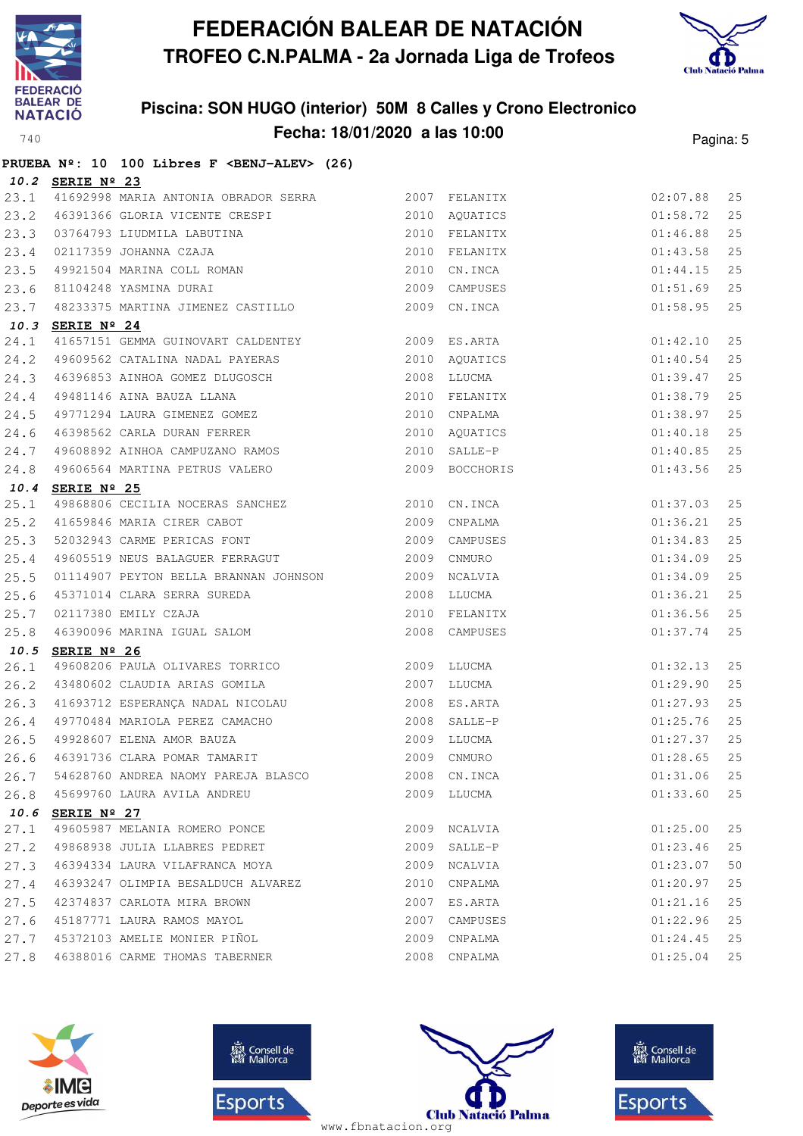



|      |                  | PRUEBA Nº: 10 100 Libres F <benj-alev> (26)</benj-alev>                                                                                                                                                                                    |      |                                |                          |    |
|------|------------------|--------------------------------------------------------------------------------------------------------------------------------------------------------------------------------------------------------------------------------------------|------|--------------------------------|--------------------------|----|
|      | 10.2 SERIE Nº 23 |                                                                                                                                                                                                                                            |      |                                |                          |    |
|      |                  | 23.1 41692998 MARIA ANTONIA OBRADOR SERRA 2007 FELANITX                                                                                                                                                                                    |      |                                | 02:07.88                 | 25 |
|      |                  |                                                                                                                                                                                                                                            |      |                                |                          | 25 |
|      |                  |                                                                                                                                                                                                                                            |      |                                |                          | 25 |
|      |                  |                                                                                                                                                                                                                                            |      |                                |                          | 25 |
|      |                  |                                                                                                                                                                                                                                            |      |                                |                          | 25 |
|      |                  |                                                                                                                                                                                                                                            |      |                                |                          | 25 |
|      |                  | 23.2 46391366 GLORIA VICENTE CRESPI<br>23.2 46391366 GLORIA VICENTE CRESPI<br>23.3 03764793 LIUDMILA LABUTINA<br>23.4 02117359 JOHANNA CZAJA<br>23.4 02117359 JOHANNA CZAJA<br>23.5 49921504 MARINA COLL ROMAN<br>23.5 49921504 MARINA COL |      |                                |                          | 25 |
|      | 10.3 SERIE Nº 24 |                                                                                                                                                                                                                                            |      |                                |                          |    |
| 24.1 |                  | 41657151 GEMMA GUINOVART CALDENTEY 6000 2009 ES.ARTA                                                                                                                                                                                       |      |                                | 01:42.10                 | 25 |
| 24.2 |                  | 49609562 CATALINA NADAL PAYERAS 6 2010 AQUATICS                                                                                                                                                                                            |      |                                | 01:40.54                 | 25 |
|      |                  |                                                                                                                                                                                                                                            |      |                                | 01:39.47                 | 25 |
|      |                  |                                                                                                                                                                                                                                            |      |                                | 01:38.79                 | 25 |
|      |                  | 24.3 46396853 AINHOA GOMEZ DLUGOSCH 2008 LLUCMA<br>24.4 49481146 AINA BAUZA LLANA 2010 FELANITX<br>24.5 49771294 LAURA GIMENEZ GOMEZ 2010 CNPALMA                                                                                          |      |                                | 01:38.97                 | 25 |
| 24.6 |                  | 46398562 CARLA DURAN FERRER 2010 AQUATICS                                                                                                                                                                                                  |      |                                | 01:40.18                 | 25 |
|      |                  | 24.7 49608892 AINHOA CAMPUZANO RAMOS 2010 SALLE-P                                                                                                                                                                                          |      |                                | 01:40.85                 | 25 |
| 24.8 |                  | 49606564 MARTINA PETRUS VALERO                                                                                                                                                                                                             |      | 2009 BOCCHORIS                 | 01:43.56                 | 25 |
|      | 10.4 SERIE Nº 25 |                                                                                                                                                                                                                                            |      |                                |                          |    |
| 25.1 |                  | 49868806 CECILIA NOCERAS SANCHEZ 2010 CN.INCA                                                                                                                                                                                              |      |                                | 01:37.03                 | 25 |
|      |                  | 25.2 41659846 MARIA CIRER CABOT 6 2009 CNPALMA<br>25.3 52032943 CARME PERICAS FONT 6 2009 CAMPUSES                                                                                                                                         |      |                                | 01:36.21                 | 25 |
|      |                  |                                                                                                                                                                                                                                            |      |                                | 01:34.83                 | 25 |
|      |                  | 25.4 49605519 NEUS BALAGUER FERRAGUT 2009 CNMURO                                                                                                                                                                                           |      |                                | 01:34.09                 | 25 |
| 25.5 |                  | 01114907 PEYTON BELLA BRANNAN JOHNSON 2009 NCALVIA                                                                                                                                                                                         |      |                                | 01:34.09                 | 25 |
| 25.6 |                  | 45371014 CLARA SERRA SUREDA<br>02117380 EMILY CZAJA<br>46390096 MARINA IGUAL SALOM                                                                                                                                                         |      | 2008 LLUCMA                    | 01:36.21                 | 25 |
| 25.7 |                  |                                                                                                                                                                                                                                            |      | 2010 FELANITX<br>2008 CAMPUSES | 01:36.56                 | 25 |
| 25.8 |                  |                                                                                                                                                                                                                                            |      |                                | 01:37.74                 | 25 |
|      | 10.5 SERIE Nº 26 |                                                                                                                                                                                                                                            |      |                                |                          |    |
| 26.1 |                  | 49608206 PAULA OLIVARES TORRICO 2009 LLUCMA                                                                                                                                                                                                |      |                                | 01:32.13                 | 25 |
|      |                  | 26.2 43480602 CLAUDIA ARIAS GOMILA 2007 LLUCMA                                                                                                                                                                                             |      |                                | 01:29.90                 | 25 |
|      |                  | 26.3 41693712 ESPERANÇA NADAL NICOLAU                                                                                                                                                                                                      |      | 2008 ES.ARTA                   | $01:27.93$<br>$01:25.76$ | 25 |
|      |                  | 26.4 49770484 MARIOLA PEREZ CAMACHO 2008 SALLE-P                                                                                                                                                                                           |      |                                |                          | 25 |
|      |                  |                                                                                                                                                                                                                                            |      |                                |                          |    |
|      |                  |                                                                                                                                                                                                                                            |      |                                |                          |    |
|      |                  | 26.7 54628760 ANDREA NAOMY PAREJA BLASCO                                                                                                                                                                                                   |      | 2008 CN.INCA                   | 01:31.06                 | 25 |
|      |                  | 26.8 45699760 LAURA AVILA ANDREU                                                                                                                                                                                                           |      | 2009 LLUCMA                    | 01:33.60                 | 25 |
|      | 10.6 SERIE Nº 27 |                                                                                                                                                                                                                                            |      |                                |                          |    |
| 27.1 |                  | 49605987 MELANIA ROMERO PONCE                                                                                                                                                                                                              | 2009 | NCALVIA                        | 01:25.00                 | 25 |
|      |                  | 27.2 49868938 JULIA LLABRES PEDRET                                                                                                                                                                                                         | 2009 | SALLE-P                        | 01:23.46                 | 25 |
| 27.3 |                  | 46394334 LAURA VILAFRANCA MOYA                                                                                                                                                                                                             |      | 2009 NCALVIA                   | 01:23.07                 | 50 |
| 27.4 |                  | 46393247 OLIMPIA BESALDUCH ALVAREZ                                                                                                                                                                                                         | 2010 | CNPALMA                        | 01:20.97                 | 25 |
| 27.5 |                  | 42374837 CARLOTA MIRA BROWN                                                                                                                                                                                                                | 2007 | ES.ARTA                        | 01:21.16                 | 25 |
|      |                  | 27.6 45187771 LAURA RAMOS MAYOL                                                                                                                                                                                                            | 2007 | CAMPUSES                       | 01:22.96                 | 25 |
|      |                  | 27.7 45372103 AMELIE MONIER PIÑOL                                                                                                                                                                                                          |      | 2009 CNPALMA                   | 01:24.45                 | 25 |
| 27.8 |                  | 46388016 CARME THOMAS TABERNER                                                                                                                                                                                                             | 2008 | CNPALMA                        | 01:25.04                 | 25 |







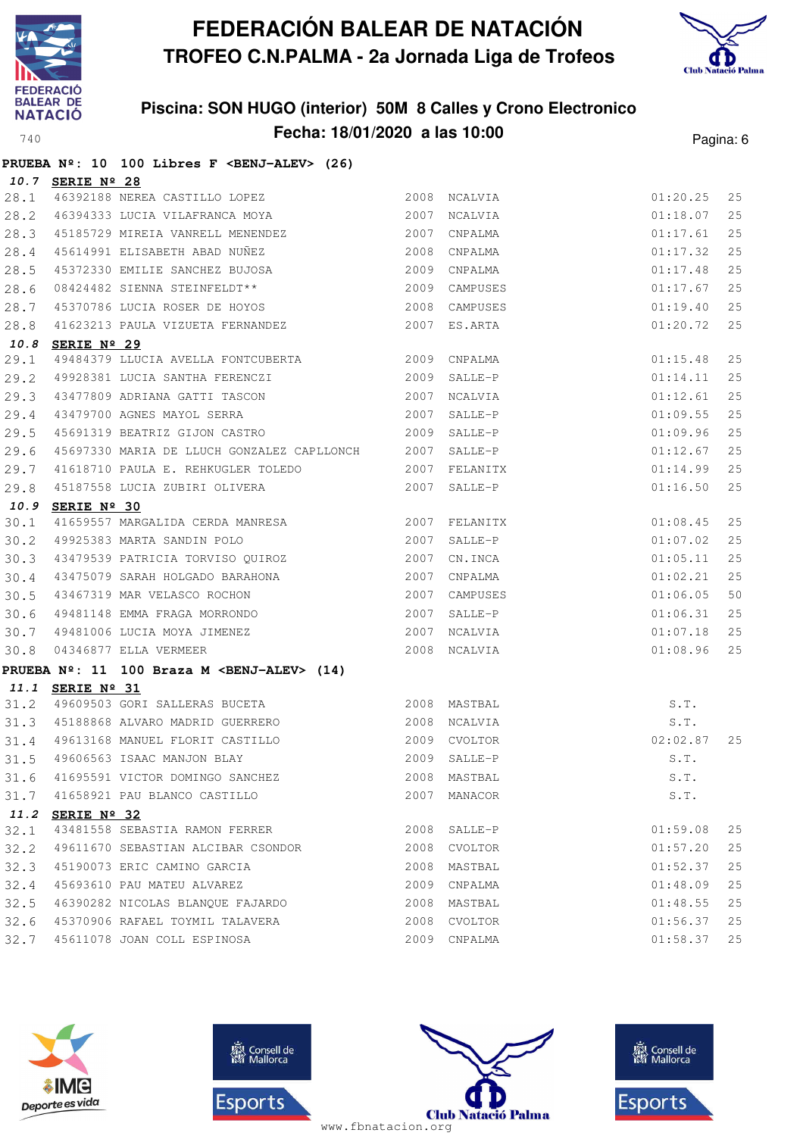



|      |                      | PRUEBA Nº: 10 100 Libres F <benj-alev> (26)</benj-alev>                                                                                                   |              |              |          |    |
|------|----------------------|-----------------------------------------------------------------------------------------------------------------------------------------------------------|--------------|--------------|----------|----|
|      | 10.7 SERIE Nº 28     |                                                                                                                                                           |              |              |          |    |
| 28.1 |                      | 46392188 NEREA CASTILLO LOPEZ 2008 NCALVIA                                                                                                                |              |              | 01:20.25 | 25 |
| 28.2 |                      | 46394333 LUCIA VILAFRANCA MOYA 2007                                                                                                                       |              | NCALVIA      | 01:18.07 | 25 |
| 28.3 |                      | 45185729 MIREIA VANRELL MENENDEZ 2007 CNPALMA                                                                                                             |              |              | 01:17.61 | 25 |
| 28.4 |                      | 45614991 ELISABETH ABAD NUÑEZ 2008 CNPALMA                                                                                                                |              |              | 01:17.32 | 25 |
| 28.5 |                      | 45372330 EMILIE SANCHEZ BUJOSA 2009                                                                                                                       |              | CNPALMA      | 01:17.48 | 25 |
| 28.6 |                      | 08424482 SIENNA STEINFELDT** 2009 CAMPUSES<br>45370786 LUCIA ROSER DE HOYOS 2008 CAMPUSES                                                                 |              |              | 01:17.67 | 25 |
| 28.7 |                      |                                                                                                                                                           |              |              | 01:19.40 | 25 |
| 28.8 |                      | 41623213 PAULA VIZUETA FERNANDEZ 2007 ES.ARTA                                                                                                             |              |              | 01:20.72 | 25 |
| 10.8 | SERIE $N^{\circ}$ 29 |                                                                                                                                                           |              |              |          |    |
| 29.1 |                      | 49484379 LLUCIA AVELLA FONTCUBERTA 2009 CNPALMA                                                                                                           |              |              | 01:15.48 | 25 |
| 29.2 |                      |                                                                                                                                                           |              |              | 01:14.11 | 25 |
| 29.3 |                      | 49928381 LUCIA SANTHA FERENCZI 2009 SALLE-P<br>43477809 ADRIANA GATTI TASCON 2007 NCALVIA                                                                 |              |              | 01:12.61 | 25 |
| 29.4 |                      | 43479700 AGNES MAYOL SERRA 2007 SALLE-P                                                                                                                   |              |              | 01:09.55 | 25 |
| 29.5 |                      |                                                                                                                                                           |              |              | 01:09.96 | 25 |
| 29.6 |                      |                                                                                                                                                           |              |              | 01:12.67 | 25 |
| 29.7 |                      | 45697330 MARIA DE LLUCH GONZALEZ CAPLLONCH 2007 SALLE-P<br>41618710 PAULA E. REHKUGLER TOLEDO 2007 FELANITX<br>45187558 LUCIA ZUBIRI OLIVERA 2007 SALLE-P |              |              | 01:14.99 | 25 |
| 29.8 |                      | 45187558 LUCIA ZUBIRI OLIVERA 2007 SALLE-P                                                                                                                |              |              | 01:16.50 | 25 |
| 10.9 | SERIE Nº 30          |                                                                                                                                                           |              |              |          |    |
| 30.1 |                      |                                                                                                                                                           |              |              | 01:08.45 | 25 |
| 30.2 |                      | 2007 FELANITX<br>49925383 MARTA SANDIN POLO<br>43479539 PATRICIA TORVISO QUIROZ<br>2007 CN.INCA                                                           |              |              | 01:07.02 | 25 |
| 30.3 |                      |                                                                                                                                                           |              |              | 01:05.11 | 25 |
| 30.4 |                      | 43475079 SARAH HOLGADO BARAHONA 2007                                                                                                                      |              | CNPALMA      | 01:02.21 | 25 |
| 30.5 |                      | 43467319 MAR VELASCO ROCHON 2007 CAMPUSES<br>49481148 EMMA FRAGA MORRONDO 2007 SALLE-P<br>49481006 LUCIA MOYA JIMENEZ 2007 NCALVIA                        |              | CAMPUSES     | 01:06.05 | 50 |
| 30.6 |                      |                                                                                                                                                           |              | 2007 SALLE-P | 01:06.31 | 25 |
| 30.7 |                      |                                                                                                                                                           |              |              | 01:07.18 | 25 |
| 30.8 |                      | 04346877 ELLA VERMEER                                                                                                                                     | 2008 NCALVIA |              | 01:08.96 | 25 |
|      |                      | PRUEBA Nº: 11 100 Braza M <benj-alev> (14)</benj-alev>                                                                                                    |              |              |          |    |
|      | 11.1 SERIE Nº 31     |                                                                                                                                                           |              |              |          |    |
| 31.2 |                      | 49609503 GORI SALLERAS BUCETA 2008 MASTBAL                                                                                                                |              |              | S.T.     |    |
|      |                      | 31.3 45188868 ALVARO MADRID GUERRERO 2008 NCALVIA                                                                                                         |              |              | S.T.     |    |
| 31.4 |                      | 49613168 MANUEL FLORIT CASTILLO 2009 CVOLTOR                                                                                                              |              |              | 02:02.87 | 25 |
|      |                      | 31.5 49606563 ISAAC MANJON BLAY 6.7. 2009 SALLE-P S.T.                                                                                                    |              |              |          |    |
| 31.6 |                      | 41695591 VICTOR DOMINGO SANCHEZ                                                                                                                           |              | 2008 MASTBAL | S.T.     |    |
| 31.7 |                      | 41658921 PAU BLANCO CASTILLO                                                                                                                              |              | 2007 MANACOR | S.T.     |    |
|      | 11.2 SERIE Nº 32     |                                                                                                                                                           |              |              |          |    |
| 32.1 |                      | 43481558 SEBASTIA RAMON FERRER                                                                                                                            |              | 2008 SALLE-P | 01:59.08 | 25 |
| 32.2 |                      | 49611670 SEBASTIAN ALCIBAR CSONDOR                                                                                                                        |              | 2008 CVOLTOR | 01:57.20 | 25 |
| 32.3 |                      | 45190073 ERIC CAMINO GARCIA                                                                                                                               |              | 2008 MASTBAL | 01:52.37 | 25 |
| 32.4 |                      | 45693610 PAU MATEU ALVAREZ                                                                                                                                |              | 2009 CNPALMA | 01:48.09 | 25 |
| 32.5 |                      | 46390282 NICOLAS BLANQUE FAJARDO                                                                                                                          |              | 2008 MASTBAL | 01:48.55 | 25 |
| 32.6 |                      | 45370906 RAFAEL TOYMIL TALAVERA                                                                                                                           |              | 2008 CVOLTOR | 01:56.37 | 25 |
| 32.7 |                      | 45611078 JOAN COLL ESPINOSA                                                                                                                               |              | 2009 CNPALMA | 01:58.37 | 25 |







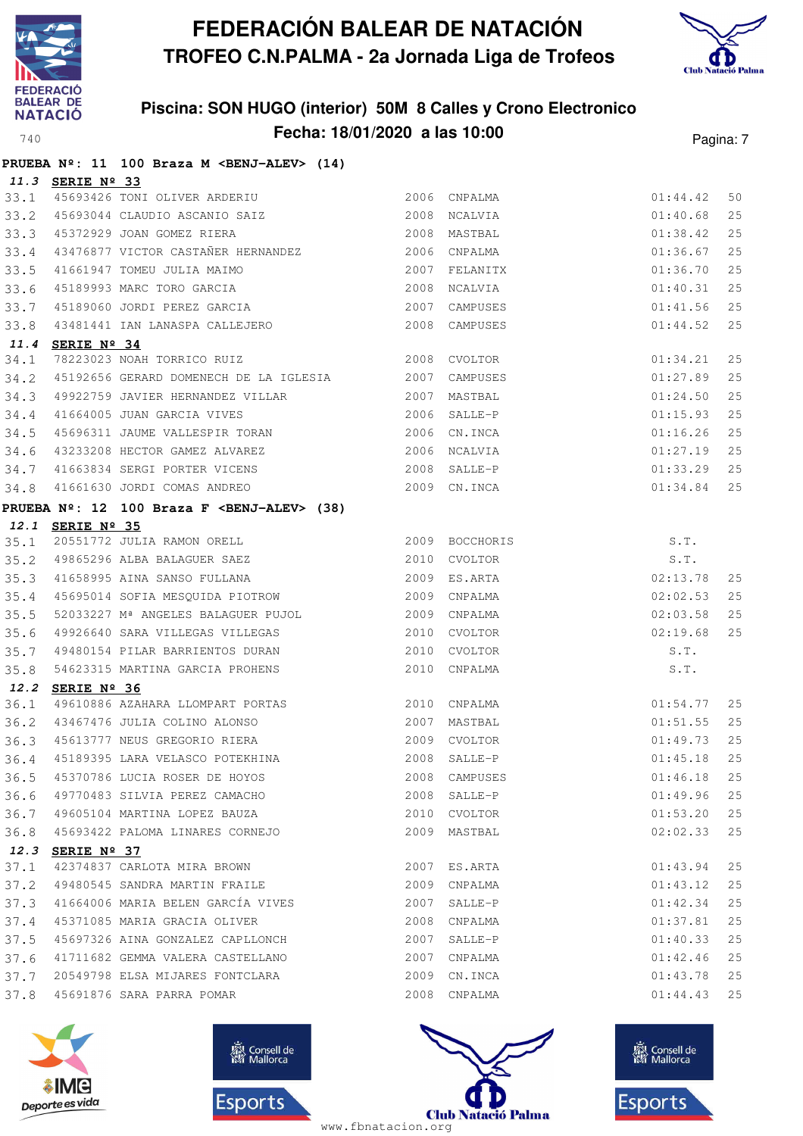



|      |                  | PRUEBA Nº: 11 100 Braza M <benj-alev> (14)</benj-alev>                                     |      |               |          |    |
|------|------------------|--------------------------------------------------------------------------------------------|------|---------------|----------|----|
|      | 11.3 SERIE Nº 33 |                                                                                            |      |               |          |    |
| 33.1 |                  |                                                                                            |      |               | 01:44.42 | 50 |
| 33.2 |                  | 45693044 CLAUDIO ASCANIO SAIZ 2008 NCALVIA                                                 |      |               | 01:40.68 | 25 |
| 33.3 |                  | 15372929 JOAN GOMEZ RIERA<br>13476877 VICTOR CASTAÑER HERNANDEZ 2006 CNPALMA               |      |               | 01:38.42 | 25 |
| 33.4 |                  |                                                                                            |      |               | 01:36.67 | 25 |
| 33.5 |                  | 2007<br>41661947 TOMEU JULIA MAIMO                                                         |      | FELANITX      | 01:36.70 | 25 |
| 33.6 |                  |                                                                                            | 2008 | NCALVIA       | 01:40.31 | 25 |
| 33.7 |                  |                                                                                            |      | 2007 CAMPUSES | 01:41.56 | 25 |
| 33.8 |                  | 45189993 MARC TORO GARCIA<br>45189060 JORDI PEREZ GARCIA<br>43481441 IAN LANASPA CALLEJERO |      | 2008 CAMPUSES | 01:44.52 | 25 |
| 11.4 | SERIE Nº 34      |                                                                                            |      |               |          |    |
| 34.1 |                  | 2008 CVOLTOR<br>78223023 NOAH TORRICO RUIZ                                                 |      |               | 01:34.21 | 25 |
| 34.2 |                  | 45192656 GERARD DOMENECH DE LA IGLESIA 2007                                                |      | CAMPUSES      | 01:27.89 | 25 |
| 34.3 |                  | 49922759 JAVIER HERNANDEZ VILLAR                                                           |      | 2007 MASTBAL  | 01:24.50 | 25 |
| 34.4 |                  | 41664005 JUAN GARCIA VIVES 2006 SALLE-P<br>45696311 JAUME VALLESPIR TORAN 2006 CN.INCA     |      |               | 01:15.93 | 25 |
| 34.5 |                  |                                                                                            |      |               | 01:16.26 | 25 |
| 34.6 |                  | 43233208 HECTOR GAMEZ ALVAREZ 2006 NCALVIA                                                 |      |               | 01:27.19 | 25 |
| 34.7 |                  | 41663834 SERGI PORTER VICENS<br>41661630 JORDI COMAS ANDREO                                |      | 2008 SALLE-P  | 01:33.29 | 25 |
| 34.8 |                  |                                                                                            |      | 2009 CN. INCA | 01:34.84 | 25 |
|      |                  | PRUEBA Nº: 12 100 Braza F <benj-alev> (38)</benj-alev>                                     |      |               |          |    |
|      | 12.1 SERIE Nº 35 |                                                                                            |      |               |          |    |
| 35.1 |                  |                                                                                            |      |               | S.T.     |    |
| 35.2 |                  |                                                                                            |      |               | S.T.     |    |
| 35.3 |                  | 41658995 AINA SANSO FULLANA 2009 ES.ARTA                                                   |      |               | 02:13.78 | 25 |
| 35.4 |                  | 45695014 SOFIA MESQUIDA PIOTROW 2009 CNPALMA                                               |      |               | 02:02.53 | 25 |
| 35.5 |                  | 52033227 M <sup>ª</sup> ANGELES BALAGUER PUJOL                                             |      | 2009 CNPALMA  | 02:03.58 | 25 |
| 35.6 |                  | 49926640 SARA VILLEGAS VILLEGAS                                                            |      | 2010 CVOLTOR  | 02:19.68 | 25 |
| 35.7 |                  | 49480154 PILAR BARRIENTOS DURAN                                                            |      | 2010 CVOLTOR  | S.T.     |    |
| 35.8 |                  | 54623315 MARTINA GARCIA PROHENS                                                            |      | 2010 CNPALMA  | S.T.     |    |
| 36.1 | 12.2 SERIE Nº 36 | 49610886 AZAHARA LLOMPART PORTAS 2010 CNPALMA                                              |      |               | 01:54.77 | 25 |
|      |                  | 36.2 43467476 JULIA COLINO ALONSO 2007 MASTBAL                                             |      |               | 01:51.55 | 25 |
| 36.3 |                  | 45613777 NEUS GREGORIO RIERA 2009 CVOLTOR                                                  |      |               | 01:49.73 | 25 |
|      |                  | 36.4 45189395 LARA VELASCO POTEKHINA 2008 SALLE-P 2008 CONSTRUE 25                         |      |               |          |    |
| 36.5 |                  | 45370786 LUCIA ROSER DE HOYOS                                                              |      | 2008 CAMPUSES | 01:46.18 | 25 |
| 36.6 |                  | 49770483 SILVIA PEREZ CAMACHO                                                              |      | 2008 SALLE-P  | 01:49.96 | 25 |
| 36.7 |                  | 49605104 MARTINA LOPEZ BAUZA                                                               |      | 2010 CVOLTOR  | 01:53.20 | 25 |
| 36.8 |                  | 45693422 PALOMA LINARES CORNEJO                                                            |      | 2009 MASTBAL  | 02:02.33 | 25 |
|      | 12.3 SERIE Nº 37 |                                                                                            |      |               |          |    |
| 37.1 |                  | 42374837 CARLOTA MIRA BROWN                                                                |      | 2007 ES.ARTA  | 01:43.94 | 25 |
| 37.2 |                  | 49480545 SANDRA MARTIN FRAILE                                                              |      | 2009 CNPALMA  | 01:43.12 | 25 |
| 37.3 |                  | 41664006 MARIA BELEN GARCÍA VIVES                                                          |      | 2007 SALLE-P  | 01:42.34 | 25 |
| 37.4 |                  | 45371085 MARIA GRACIA OLIVER                                                               |      | 2008 CNPALMA  | 01:37.81 | 25 |
| 37.5 |                  | 45697326 AINA GONZALEZ CAPLLONCH                                                           |      | 2007 SALLE-P  | 01:40.33 | 25 |
| 37.6 |                  | 41711682 GEMMA VALERA CASTELLANO                                                           |      | 2007 CNPALMA  | 01:42.46 | 25 |
| 37.7 |                  | 20549798 ELSA MIJARES FONTCLARA                                                            |      | 2009 CN. INCA | 01:43.78 | 25 |
| 37.8 |                  | 45691876 SARA PARRA POMAR                                                                  |      | 2008 CNPALMA  | 01:44.43 | 25 |







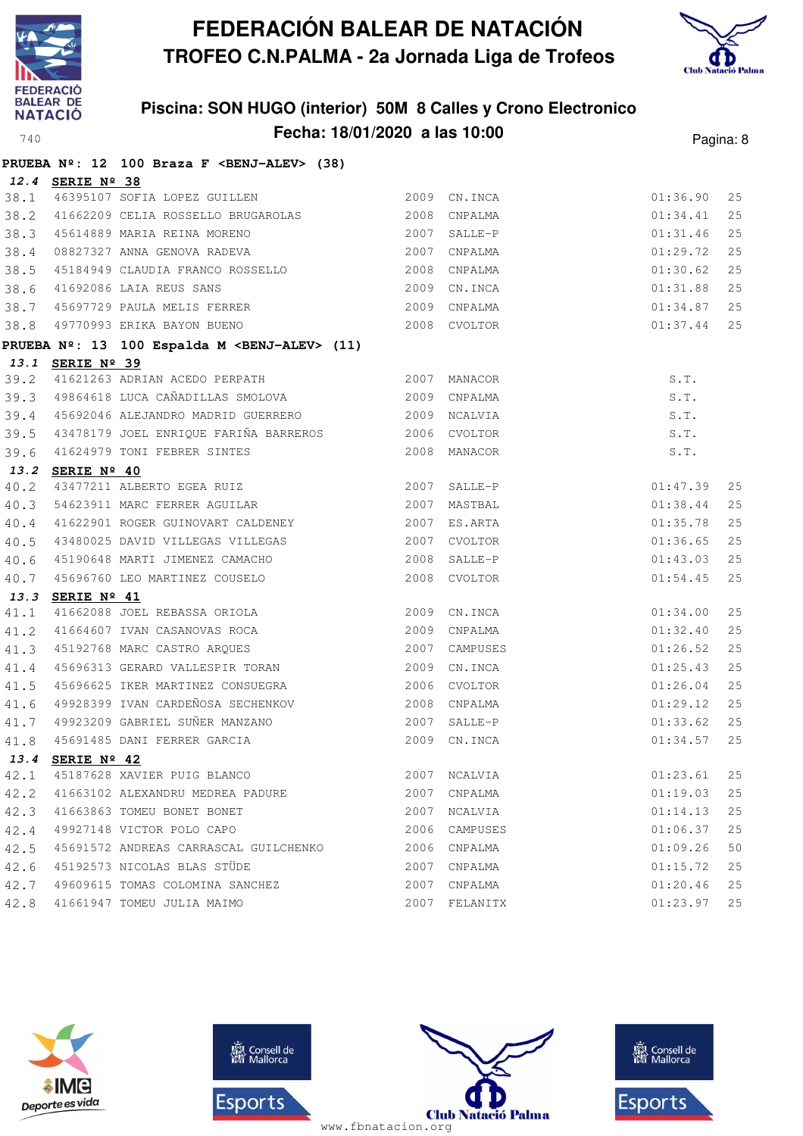



|      |                  | PRUEBA Nº: 12 100 Braza F <benj-alev> (38)</benj-alev>     |      |               |          |    |
|------|------------------|------------------------------------------------------------|------|---------------|----------|----|
|      | 12.4 SERIE Nº 38 |                                                            |      |               |          |    |
|      |                  | 38.1 46395107 SOFIA LOPEZ GUILLEN                          |      | 2009 CN.INCA  | 01:36.90 | 25 |
| 38.2 |                  | 41662209 CELIA ROSSELLO BRUGAROLAS 2008 CNPALMA            |      |               | 01:34.41 | 25 |
| 38.3 |                  | 45614889 MARIA REINA MORENO                                |      | 2007 SALLE-P  | 01:31.46 | 25 |
| 38.4 |                  | 08827327 ANNA GENOVA RADEVA                                |      | 2007 CNPALMA  | 01:29.72 | 25 |
| 38.5 |                  | 45184949 CLAUDIA FRANCO ROSSELLO                           |      | 2008 CNPALMA  | 01:30.62 | 25 |
| 38.6 |                  | 41692086 LAIA REUS SANS<br>45697729 PAULA MELIS FERRER     |      | 2009 CN. INCA | 01:31.88 | 25 |
| 38.7 |                  |                                                            |      | 2009 CNPALMA  | 01:34.87 | 25 |
| 38.8 |                  | 49770993 ERIKA BAYON BUENO                                 |      | 2008 CVOLTOR  | 01:37.44 | 25 |
|      |                  | PRUEBA Nº: 13 100 Espalda M <benj-alev> (11)</benj-alev>   |      |               |          |    |
|      | 13.1 SERIE Nº 39 |                                                            |      |               |          |    |
| 39.2 |                  | 41621263 ADRIAN ACEDO PERPATH 2007 MANACOR                 |      |               | S.T.     |    |
|      |                  | 39.3 49864618 LUCA CAÑADILLAS SMOLOVA 2009 CNPALMA         |      |               | S.T.     |    |
|      |                  | 39.4 45692046 ALEJANDRO MADRID GUERRERO 2009 NCALVIA       |      |               | S.T.     |    |
|      |                  | 39.5 43478179 JOEL ENRIQUE FARIÑA BARREROS 2006 CVOLTOR    |      |               | S.T.     |    |
| 39.6 |                  | 41624979 TONI FEBRER SINTES 2008 MANACOR                   |      |               | S.T.     |    |
|      | 13.2 SERIE Nº 40 |                                                            |      |               |          |    |
| 40.2 |                  | 43477211 ALBERTO EGEA RUIZ<br>54623911 MARC FERRER AGUILAR |      | 2007 SALLE-P  | 01:47.39 | 25 |
| 40.3 |                  |                                                            |      | 2007 MASTBAL  | 01:38.44 | 25 |
| 40.4 |                  | 41622901 ROGER GUINOVART CALDENEY                          |      | 2007 ES.ARTA  | 01:35.78 | 25 |
| 40.5 |                  | 43480025 DAVID VILLEGAS VILLEGAS                           |      | 2007 CVOLTOR  | 01:36.65 | 25 |
| 40.6 |                  | 45190648 MARTI JIMENEZ CAMACHO                             |      | 2008 SALLE-P  | 01:43.03 | 25 |
| 40.7 |                  | 45696760 LEO MARTINEZ COUSELO                              |      | 2008 CVOLTOR  | 01:54.45 | 25 |
| 13.3 | SERIE Nº 41      |                                                            |      |               |          |    |
| 41.1 |                  | 41662088 JOEL REBASSA ORIOLA                               |      | 2009 CN.INCA  | 01:34.00 | 25 |
| 41.2 |                  | 41664607 IVAN CASANOVAS ROCA                               |      | 2009 CNPALMA  | 01:32.40 | 25 |
| 41.3 |                  | 45192768 MARC CASTRO ARQUES                                | 2007 | CAMPUSES      | 01:26.52 | 25 |
| 41.4 |                  | 45696313 GERARD VALLESPIR TORAN                            |      | 2009 CN.INCA  | 01:25.43 | 25 |
| 41.5 |                  | 45696625 IKER MARTINEZ CONSUEGRA                           |      | 2006 CVOLTOR  | 01:26.04 | 25 |
| 41.6 |                  | 49928399 IVAN CARDEÑOSA SECHENKOV                          |      | 2008 CNPALMA  | 01:29.12 | 25 |
| 41.7 |                  | 49923209 GABRIEL SUÑER MANZANO                             |      | 2007 SALLE-P  | 01:33.62 | 25 |
| 41.8 |                  | 45691485 DANI FERRER GARCIA                                |      | 2009 CN. INCA | 01:34.57 | 25 |
|      | 13.4 SERIE Nº 42 |                                                            |      |               |          |    |
| 42.1 |                  | 45187628 XAVIER PUIG BLANCO                                | 2007 | NCALVIA       | 01:23.61 | 25 |
| 42.2 |                  | 41663102 ALEXANDRU MEDREA PADURE                           | 2007 | CNPALMA       | 01:19.03 | 25 |
| 42.3 |                  | 41663863 TOMEU BONET BONET                                 | 2007 | NCALVIA       | 01:14.13 | 25 |
| 42.4 |                  | 49927148 VICTOR POLO CAPO                                  |      | 2006 CAMPUSES | 01:06.37 | 25 |
| 42.5 |                  | 45691572 ANDREAS CARRASCAL GUILCHENKO                      |      | 2006 CNPALMA  | 01:09.26 | 50 |
| 42.6 |                  | 45192573 NICOLAS BLAS STÜDE                                | 2007 | CNPALMA       | 01:15.72 | 25 |
| 42.7 |                  | 49609615 TOMAS COLOMINA SANCHEZ                            | 2007 | CNPALMA       | 01:20.46 | 25 |
| 42.8 |                  | 41661947 TOMEU JULIA MAIMO                                 |      | 2007 FELANITX | 01:23.97 | 25 |







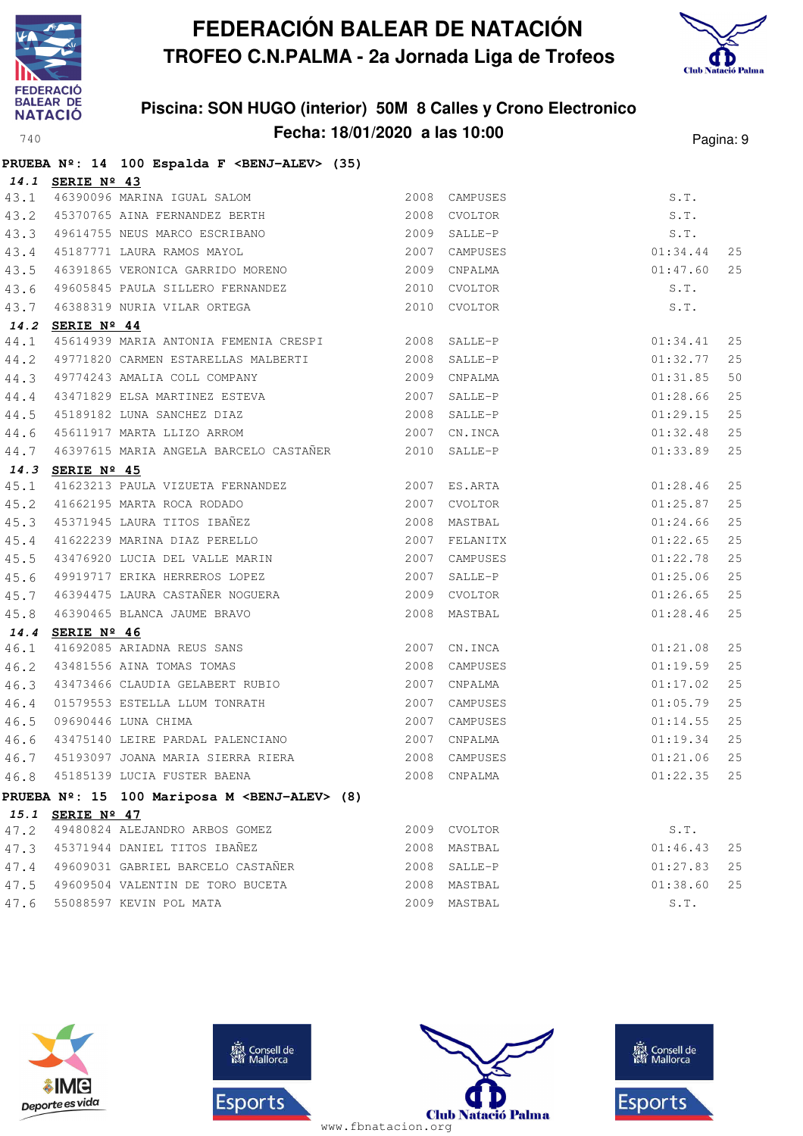



|      |                  | PRUEBA Nº: 14 100 Espalda F <benj-alev> (35)</benj-alev>              |      |               |          |    |
|------|------------------|-----------------------------------------------------------------------|------|---------------|----------|----|
|      | 14.1 SERIE Nº 43 |                                                                       |      |               |          |    |
| 43.1 |                  | 46390096 MARINA IGUAL SALOM                                           |      | 2008 CAMPUSES | S.T.     |    |
| 43.2 |                  | 45370765 AINA FERNANDEZ BERTH                                         |      | 2008 CVOLTOR  | S.T.     |    |
| 43.3 |                  | 49614755 NEUS MARCO ESCRIBANO                                         |      | 2009 SALLE-P  | S.T.     |    |
| 43.4 |                  | 45187771 LAURA RAMOS MAYOL<br>46391965 VEDOVICA CIDAGO                |      | 2007 CAMPUSES | 01:34.44 | 25 |
| 43.5 |                  |                                                                       |      |               | 01:47.60 | 25 |
| 43.6 |                  |                                                                       |      |               | S.T.     |    |
| 43.7 |                  | 46388319 NURIA VILAR ORTEGA                                           |      | 2010 CVOLTOR  | S.T.     |    |
|      | 14.2 SERIE Nº 44 |                                                                       |      |               |          |    |
| 44.1 |                  | 45614939 MARIA ANTONIA FEMENIA CRESPI 2008 SALLE-P                    |      |               | 01:34.41 | 25 |
| 44.2 |                  | 49771820 CARMEN ESTARELLAS MALBERTI 49771820 SALLE-P                  |      |               | 01:32.77 | 25 |
| 44.3 |                  |                                                                       |      |               | 01:31.85 | 50 |
| 44.4 |                  |                                                                       |      |               | 01:28.66 | 25 |
| 44.5 |                  | 45189182 LUNA SANCHEZ DIAZ<br>45611917 MARTA LLIZO ARROM 2007 CN.INCA |      |               | 01:29.15 | 25 |
| 44.6 |                  |                                                                       |      |               | 01:32.48 | 25 |
| 44.7 |                  | 46397615 MARIA ANGELA BARCELO CASTAÑER 2010 SALLE-P                   |      |               | 01:33.89 | 25 |
|      | 14.3 SERIE Nº 45 |                                                                       |      |               |          |    |
| 45.1 |                  | 41623213 PAULA VIZUETA FERNANDEZ 2007 ES.ARTA                         |      |               | 01:28.46 | 25 |
| 45.2 |                  |                                                                       |      |               | 01:25.87 | 25 |
| 45.3 |                  |                                                                       |      |               | 01:24.66 | 25 |
| 45.4 |                  | 41622239 MARINA DIAZ PERELLO                                          |      | 2007 FELANITX | 01:22.65 | 25 |
| 45.5 |                  | 43476920 LUCIA DEL VALLE MARIN                                        |      | 2007 CAMPUSES | 01:22.78 | 25 |
| 45.6 |                  | 49919717 ERIKA HERREROS LOPEZ                                         |      | 2007 SALLE-P  | 01:25.06 | 25 |
| 45.7 |                  | 46394475 LAURA CASTAÑER NOGUERA (2009) CVOLTOR                        |      |               | 01:26.65 | 25 |
| 45.8 |                  | 46390465 BLANCA JAUME BRAVO                                           |      | 2008 MASTBAL  | 01:28.46 | 25 |
|      | 14.4 SERIE Nº 46 |                                                                       |      |               |          |    |
| 46.1 |                  | 41692085 ARIADNA REUS SANS<br>43481556 AINA TOMAS TOMAS               |      | 2007 CN.INCA  | 01:21.08 | 25 |
| 46.2 |                  |                                                                       |      | 2008 CAMPUSES | 01:19.59 | 25 |
| 46.3 |                  | 43473466 CLAUDIA GELABERT RUBIO                                       |      | 2007 CNPALMA  | 01:17.02 | 25 |
| 46.4 |                  | 01579553 ESTELLA LLUM TONRATH<br>09690446 LUNA CHIMA                  |      | 2007 CAMPUSES | 01:05.79 | 25 |
| 46.5 |                  |                                                                       |      | 2007 CAMPUSES | 01:14.55 | 25 |
| 46.6 |                  | 43475140 LEIRE PARDAL PALENCIANO 60 2007 CNPALMA                      |      |               | 01:19.34 | 25 |
|      |                  | 46.7 45193097 JOANA MARIA SIERRA RIERA 60000 2008 CAMPUSES            |      |               | 01:21.06 | 25 |
| 46.8 |                  | 45185139 LUCIA FUSTER BAENA                                           |      | 2008 CNPALMA  | 01:22.35 | 25 |
|      |                  | PRUEBA Nº: 15 100 Mariposa M <benj-alev> (8)</benj-alev>              |      |               |          |    |
|      | 15.1 SERIE Nº 47 |                                                                       |      |               |          |    |
| 47.2 |                  | 49480824 ALEJANDRO ARBOS GOMEZ                                        |      | 2009 CVOLTOR  | S.T.     |    |
| 47.3 |                  | 45371944 DANIEL TITOS IBAÑEZ                                          | 2008 | MASTBAL       | 01:46.43 | 25 |
| 47.4 |                  | 49609031 GABRIEL BARCELO CASTAÑER                                     | 2008 | SALLE-P       | 01:27.83 | 25 |
| 47.5 |                  | 49609504 VALENTIN DE TORO BUCETA                                      |      | 2008 MASTBAL  | 01:38.60 | 25 |
| 47.6 |                  | 55088597 KEVIN POL MATA                                               |      | 2009 MASTBAL  | S.T.     |    |







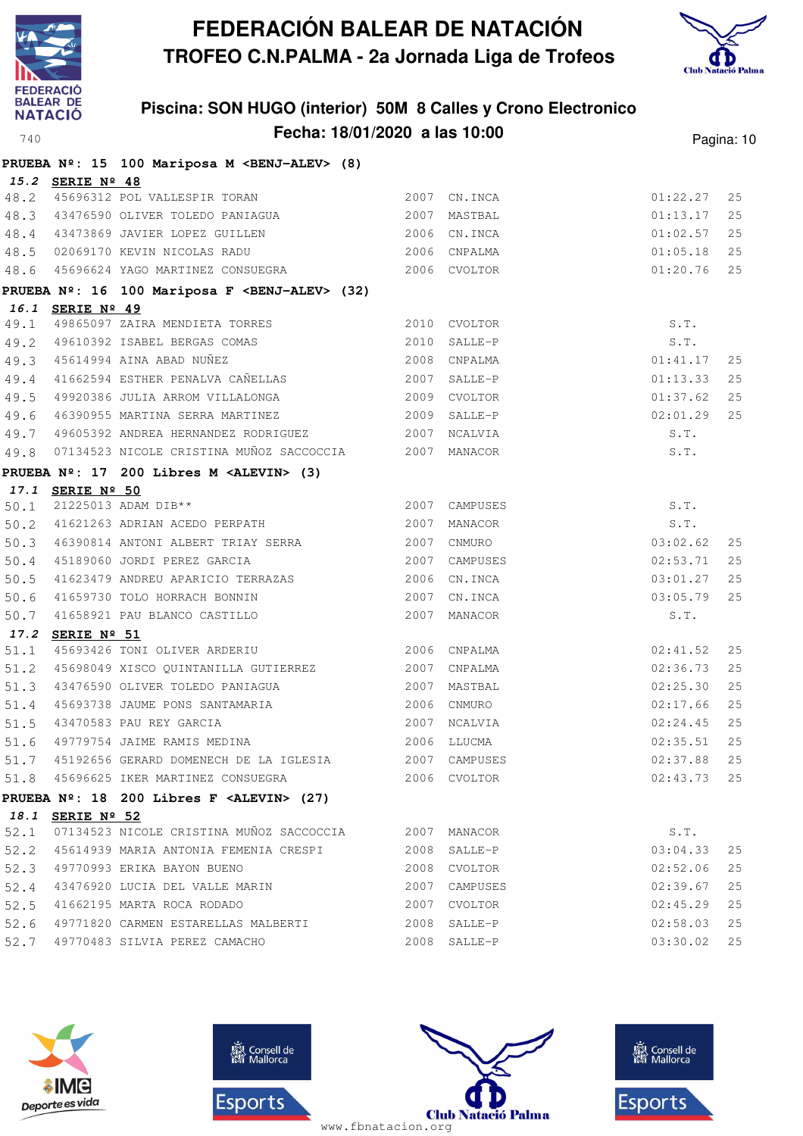



|              |                  | PRUEBA Nº: 15 100 Mariposa M <benj-alev> (8)</benj-alev>                                                                                                                                                |               |              |          |    |
|--------------|------------------|---------------------------------------------------------------------------------------------------------------------------------------------------------------------------------------------------------|---------------|--------------|----------|----|
|              | 15.2 SERIE Nº 48 |                                                                                                                                                                                                         |               |              |          |    |
| 48.2         |                  | 45696312 POL VALLESPIR TORAN                                                                                                                                                                            |               | 2007 CN.INCA | 01:22.27 | 25 |
| 48.3         |                  |                                                                                                                                                                                                         |               |              | 01:13.17 | 25 |
|              |                  | 48.4 43473869 JAVIER LOPEZ GUILLEN 2006 CN.INCA<br>48.5 02069170 KEVIN NICOLAS RADU 2006 CNPALMA                                                                                                        |               |              | 01:02.57 | 25 |
|              |                  |                                                                                                                                                                                                         |               |              | 01:05.18 | 25 |
|              |                  | 48.6 45696624 YAGO MARTINEZ CONSUEGRA 2006 CVOLTOR                                                                                                                                                      |               |              | 01:20.76 | 25 |
|              |                  | PRUEBA Nº: 16 100 Mariposa F <benj-alev> (32)</benj-alev>                                                                                                                                               |               |              |          |    |
|              | 16.1 SERIE Nº 49 |                                                                                                                                                                                                         |               |              |          |    |
| 49.1         |                  | 49865097 ZAIRA MENDIETA TORRES                                                                                                                                                                          |               | 2010 CVOLTOR | S.T.     |    |
|              |                  |                                                                                                                                                                                                         |               |              | S.T.     |    |
|              |                  | 49.2 49610392 ISABEL BERGAS COMAS 2010 SALLE-P<br>49.3 45614994 AINA ABAD NUÑEZ 2008 CNPALMA<br>49.4 41662594 ESTHER PENALVA CAÑELLAS 2007 SALLE-P<br>40.5 49929286 IULIA ABBOM UILLAISUGA 2007 SALLE-P |               |              | 01:41.17 | 25 |
|              |                  |                                                                                                                                                                                                         |               |              | 01:13.33 | 25 |
| 49.5         |                  |                                                                                                                                                                                                         |               |              | 01:37.62 | 25 |
| 49.6         |                  |                                                                                                                                                                                                         |               |              | 02:01.29 | 25 |
| 49.7         |                  |                                                                                                                                                                                                         |               |              | S.T.     |    |
| 49.8         |                  | 07134523 NICOLE CRISTINA MUÑOZ SACCOCCIA 2007 MANACOR                                                                                                                                                   |               |              | S.T.     |    |
|              |                  | PRUEBA Nº: 17 200 Libres M <alevin> (3)</alevin>                                                                                                                                                        |               |              |          |    |
|              | 17.1 SERIE Nº 50 |                                                                                                                                                                                                         |               |              |          |    |
| 50.1         |                  | 21225013 ADAM DIB**<br>50.2 41621263 ADRIAN ACEDO PERPATH 2007 MANACOR                                                                                                                                  | 2007 CAMPUSES |              | S.T.     |    |
|              |                  |                                                                                                                                                                                                         |               |              | S.T.     |    |
|              |                  | 50.3 46390814 ANTONI ALBERT TRIAY SERRA 2007 CNMURO                                                                                                                                                     |               |              | 03:02.62 | 25 |
| 50.4         |                  | 45189060 JORDI PEREZ GARCIA 2007 CAMPUSES                                                                                                                                                               |               |              | 02:53.71 | 25 |
| 50.5         |                  | 41623479 ANDREU APARICIO TERRAZAS 2006 CN.INCA                                                                                                                                                          |               |              | 03:01.27 | 25 |
| 50.6         |                  |                                                                                                                                                                                                         |               |              | 03:05.79 | 25 |
| 50.7         |                  |                                                                                                                                                                                                         |               |              | S.T.     |    |
| 17.2<br>51.1 | SERIE Nº 51      | 45693426 TONI OLIVER ARDERIU <a>&gt;</a> 2006 CNPALMA                                                                                                                                                   |               |              | 02:41.52 | 25 |
|              |                  | 51.2 45698049 XISCO QUINTANILLA GUTIERREZ 2007 CNPALMA                                                                                                                                                  |               |              | 02:36.73 | 25 |
|              |                  | 51.3 43476590 OLIVER TOLEDO PANIAGUA                                                                                                                                                                    |               | 2007 MASTBAL | 02:25.30 | 25 |
| 51.4         |                  |                                                                                                                                                                                                         |               |              | 02:17.66 | 25 |
| 51.5         |                  | 43470583 PAU REY GARCIA                                                                                                                                                                                 |               |              | 02:24.45 | 25 |
| 51.6         |                  | 43470583 PAU REY GARCIA (2007 NCALVIA 19779754 JAIME RAMIS MEDINA (2006 LLUCMA                                                                                                                          |               |              | 02:35.51 | 25 |
|              |                  | 51.7 45192656 GERARD DOMENECH DE LA IGLESIA 2007 CAMPUSES 602:37.88 25                                                                                                                                  |               |              |          |    |
|              |                  | 51.8 45696625 IKER MARTINEZ CONSUEGRA                                                                                                                                                                   |               | 2006 CVOLTOR | 02:43.73 | 25 |
|              |                  | PRUEBA $N^2$ : 18 200 Libres F <alevin> (27)</alevin>                                                                                                                                                   |               |              |          |    |
|              | 18.1 SERIE Nº 52 |                                                                                                                                                                                                         |               |              |          |    |
| 52.1         |                  | 07134523 NICOLE CRISTINA MUÑOZ SACCOCCIA                                                                                                                                                                | 2007 MANACOR  |              | S.T.     |    |
| 52.2         |                  | 45614939 MARIA ANTONIA FEMENIA CRESPI                                                                                                                                                                   |               | 2008 SALLE-P | 03:04.33 | 25 |
| 52.3         |                  | 49770993 ERIKA BAYON BUENO                                                                                                                                                                              |               | 2008 CVOLTOR | 02:52.06 | 25 |
| 52.4         |                  | 43476920 LUCIA DEL VALLE MARIN                                                                                                                                                                          | 2007          | CAMPUSES     | 02:39.67 | 25 |
| 52.5         |                  | 41662195 MARTA ROCA RODADO                                                                                                                                                                              |               | 2007 CVOLTOR | 02:45.29 | 25 |
| 52.6         |                  | 49771820 CARMEN ESTARELLAS MALBERTI                                                                                                                                                                     |               | 2008 SALLE-P | 02:58.03 | 25 |
| 52.7         |                  | 49770483 SILVIA PEREZ CAMACHO                                                                                                                                                                           |               | 2008 SALLE-P | 03:30.02 | 25 |
|              |                  |                                                                                                                                                                                                         |               |              |          |    |







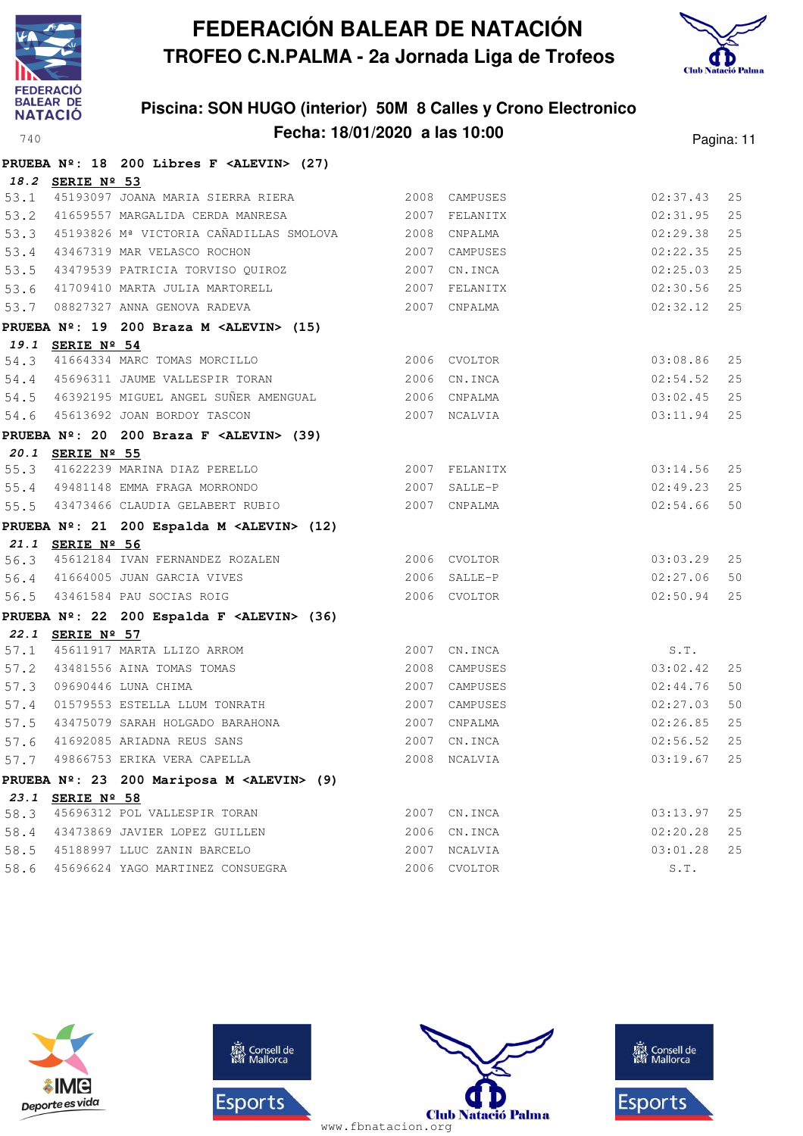



|      |                  | PRUEBA Nº: 18 200 Libres F <alevin> (27)</alevin>                                                                                   |                |               |          |        |
|------|------------------|-------------------------------------------------------------------------------------------------------------------------------------|----------------|---------------|----------|--------|
|      | 18.2 SERIE Nº 53 |                                                                                                                                     |                |               |          |        |
|      |                  | 53.1 45193097 JOANA MARIA SIERRA RIERA 2008 CAMPUSES                                                                                |                |               | 02:37.43 | 25     |
|      |                  | 53.2 41659557 MARGALIDA CERDA MANRESA                                                                                               |                | 2007 FELANITX | 02:31.95 | 25     |
|      |                  | 53.3 45193826 Mª VICTORIA CAÑADILLAS SMOLOVA 2008 CNPALMA                                                                           |                |               | 02:29.38 | 25     |
| 53.4 |                  | 43467319 MAR VELASCO ROCHON                                                                                                         | 2007 CAMPUSES  |               | 02:22.35 | 25     |
|      |                  | 53.5 43479539 PATRICIA TORVISO QUIROZ 2007 CN.INCA                                                                                  |                |               | 02:25.03 | 25     |
|      |                  | 53.6 41709410 MARTA JULIA MARTORELL                                                                                                 |                | 2007 FELANITX | 02:30.56 | 25     |
| 53.7 |                  | 08827327 ANNA GENOVA RADEVA<br>2007 CNPALMA                                                                                         |                |               | 02:32.12 | 25     |
|      |                  | PRUEBA $N^2$ : 19 200 Braza M <alevin> (15)</alevin>                                                                                |                |               |          |        |
|      | 19.1 SERIE Nº 54 |                                                                                                                                     |                |               |          |        |
| 54.3 |                  | 41664334 MARC TOMAS MORCILLO 2006 CVOLTOR                                                                                           |                |               | 03:08.86 | 25     |
|      |                  | 54.4 45696311 JAUME VALLESPIR TORAN 2006 CN.INCA                                                                                    |                |               | 02:54.52 | 25     |
|      |                  | 54.5 46392195 MIGUEL ANGEL SUÑER AMENGUAL 6006 CNPALMA                                                                              |                |               | 03:02.45 | 25     |
|      |                  | 54.6 45613692 JOAN BORDOY TASCON                                                                                                    |                | 2007 NCALVIA  | 03:11.94 | 25     |
|      |                  | PRUEBA Nº: 20 200 Braza F <alevin> (39)</alevin>                                                                                    |                |               |          |        |
|      | 20.1 SERIE Nº 55 |                                                                                                                                     |                |               |          |        |
|      |                  | 55.3 41622239 MARINA DIAZ PERELLO                                                                                                   |                | 2007 FELANITX | 03:14.56 | 25     |
|      |                  | $2007$ SALLE-P<br>55.4 49481148 EMMA FRAGA MORRONDO                                                                                 |                |               | 02:49.23 | 25     |
|      |                  | 55.5 43473466 CLAUDIA GELABERT RUBIO                                                                                                |                | 2007 CNPALMA  | 02:54.66 | 50     |
|      |                  | PRUEBA Nº: 21 200 Espalda M <alevin> (12)</alevin>                                                                                  |                |               |          |        |
|      | 21.1 SERIE Nº 56 |                                                                                                                                     |                |               |          |        |
|      |                  | 56.3 45612184 IVAN FERNANDEZ ROZALEN 2006 CVOLTOR                                                                                   |                |               | 03:03.29 | 25     |
|      |                  | 56.4 41664005 JUAN GARCIA VIVES<br>56.5 43461584 PAU SOCIAS ROIG                                                                    | $2006$ SALLE-P |               | 02:27.06 | 50     |
|      |                  |                                                                                                                                     |                | 2006 CVOLTOR  | 02:50.94 | 25     |
|      |                  | PRUEBA Nº: 22 200 Espalda F <alevin> (36)</alevin>                                                                                  |                |               |          |        |
|      | 22.1 SERIE Nº 57 |                                                                                                                                     |                |               |          |        |
|      |                  |                                                                                                                                     |                | 2007 CN.INCA  | S.T.     |        |
|      |                  |                                                                                                                                     |                | 2008 CAMPUSES | 03:02.42 | 25     |
|      |                  | 57.1 45611917 MARTA LLIZO ARROM<br>57.2 43481556 AINA TOMAS TOMAS<br>57.3 09690446 LUNA CHIMA<br>57.4 01579553 ESTELLA LLUM TONRATH |                | 2007 CAMPUSES | 02:44.76 | 50     |
|      |                  |                                                                                                                                     |                | 2007 CAMPUSES | 02:27.03 | 50     |
|      |                  | 57.5 43475079 SARAH HOLGADO BARAHONA                                                                                                |                | 2007 CNPALMA  | 02:26.85 | 25     |
| 57.6 |                  | 41692085 ARIADNA REUS SANS<br>49866753 ERIKA VERA CAPELLA                                                                           |                | 2007 CN.INCA  | 02:56.52 | 25     |
| 57.7 |                  |                                                                                                                                     |                | 2008 NCALVIA  | 03:19.67 | $2\,5$ |
|      |                  | PRUEBA Nº: 23 200 Mariposa M <alevin> (9)</alevin>                                                                                  |                |               |          |        |
|      | 23.1 SERIE Nº 58 |                                                                                                                                     |                |               |          |        |
| 58.3 |                  | 45696312 POL VALLESPIR TORAN                                                                                                        |                | 2007 CN. INCA | 03:13.97 | 25     |
| 58.4 |                  | 43473869 JAVIER LOPEZ GUILLEN                                                                                                       |                | 2006 CN. INCA | 02:20.28 | $2\,5$ |
| 58.5 |                  | 45188997 LLUC ZANIN BARCELO                                                                                                         | 2007           | NCALVIA       | 03:01.28 | 25     |
| 58.6 |                  | 45696624 YAGO MARTINEZ CONSUEGRA                                                                                                    |                | 2006 CVOLTOR  | S.T.     |        |

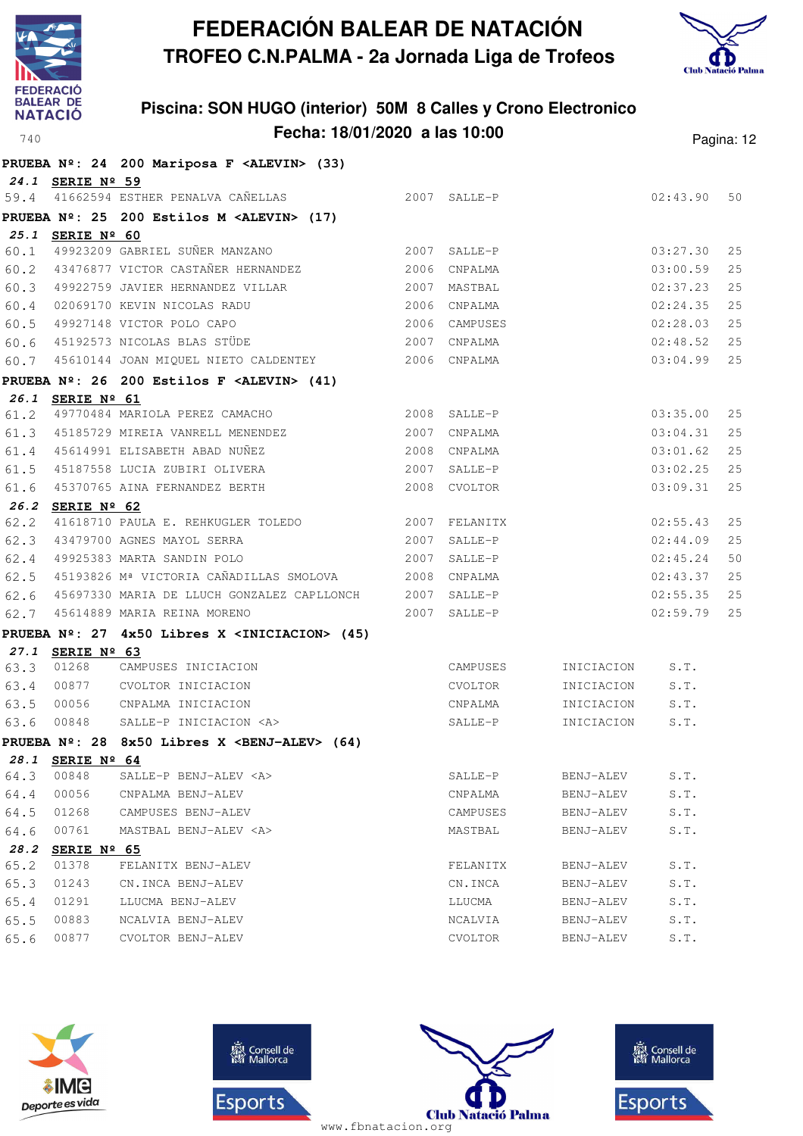



|              |                               | PRUEBA Nº: 24 200 Mariposa F <alevin> (33)</alevin>          |              |                     |                        |                      |          |
|--------------|-------------------------------|--------------------------------------------------------------|--------------|---------------------|------------------------|----------------------|----------|
|              | 24.1 SERIE Nº 59              |                                                              |              |                     |                        |                      |          |
|              |                               | 59.4 41662594 ESTHER PENALVA CAÑELLAS                        |              | 2007 SALLE-P        |                        | 02:43.90             | 50       |
|              |                               | PRUEBA Nº: 25 200 Estilos M <alevin> (17)</alevin>           |              |                     |                        |                      |          |
|              | 25.1 SERIE Nº 60              | 49923209 GABRIEL SUÑER MANZANO                               |              |                     |                        |                      |          |
| 60.1         |                               | 43476877 VICTOR CASTAÑER HERNANDEZ                           | 2007<br>2006 | SALLE-P             |                        | 03:27.30             | 25<br>25 |
| 60.2         |                               |                                                              |              | CNPALMA             |                        | 03:00.59             |          |
| 60.3         |                               | 49922759 JAVIER HERNANDEZ VILLAR                             | 2007         | MASTBAL             |                        | 02:37.23             | 25<br>25 |
| 60.4         |                               | 02069170 KEVIN NICOLAS RADU                                  | 2006<br>2006 | CNPALMA             |                        | 02:24.35             | 25       |
| 60.5<br>60.6 |                               | 49927148 VICTOR POLO CAPO<br>45192573 NICOLAS BLAS STÜDE     | 2007         | CAMPUSES<br>CNPALMA |                        | 02:28.03<br>02:48.52 | 25       |
| 60.7         |                               | 45610144 JOAN MIQUEL NIETO CALDENTEY                         |              | 2006 CNPALMA        |                        | 03:04.99             | 25       |
|              |                               |                                                              |              |                     |                        |                      |          |
|              | 26.1 SERIE Nº 61              | PRUEBA $N^{\circ}$ : 26 200 Estilos F <alevin> (41)</alevin> |              |                     |                        |                      |          |
| 61.2         |                               | 49770484 MARIOLA PEREZ CAMACHO                               | 2008         | SALLE-P             |                        | 03:35.00             | 25       |
| 61.3         |                               | 45185729 MIREIA VANRELL MENENDEZ                             | 2007         | CNPALMA             |                        | 03:04.31             | 25       |
| 61.4         |                               | 45614991 ELISABETH ABAD NUNEZ                                | 2008         | CNPALMA             |                        | 03:01.62             | 25       |
| 61.5         |                               | 45187558 LUCIA ZUBIRI OLIVERA                                | 2007         | SALLE-P             |                        | 03:02.25             | 25       |
| 61.6         |                               | 45370765 AINA FERNANDEZ BERTH                                |              | 2008 CVOLTOR        |                        | 03:09.31             | 25       |
|              | 26.2 SERIE Nº 62              |                                                              |              |                     |                        |                      |          |
| 62.2         |                               | 41618710 PAULA E. REHKUGLER TOLEDO                           |              | 2007 FELANITX       |                        | 02:55.43             | 25       |
| 62.3         |                               | 43479700 AGNES MAYOL SERRA                                   | 2007         | SALLE-P             |                        | 02:44.09             | 25       |
| 62.4         |                               | 49925383 MARTA SANDIN POLO                                   | 2007         | SALLE-P             |                        | 02:45.24             | 50       |
| 62.5         |                               | 45193826 Mª VICTORIA CAÑADILLAS SMOLOVA                      | 2008         | CNPALMA             |                        | 02:43.37             | 25       |
| 62.6         |                               | 45697330 MARIA DE LLUCH GONZALEZ CAPLLONCH                   | 2007         | SALLE-P             |                        | 02:55.35             | 25       |
| 62.7         |                               | 45614889 MARIA REINA MORENO                                  | 2007         | SALLE-P             |                        | 02:59.79             | 25       |
|              |                               | PRUEBA Nº: 27 4x50 Libres X <iniciacion> (45)</iniciacion>   |              |                     |                        |                      |          |
|              | 27.1 SERIE Nº 63              |                                                              |              |                     |                        |                      |          |
| 63.3         | 01268                         | CAMPUSES INICIACION                                          |              | CAMPUSES            | INICIACION             | S.T.                 |          |
| 63.4         | 00877                         | CVOLTOR INICIACION                                           |              | CVOLTOR             | INICIACION             | S.T.                 |          |
| 63.5         | 00056                         | CNPALMA INICIACION                                           |              | CNPALMA             | INICIACION             | S.T.                 |          |
| 63.6         | 00848                         | SALLE-P INICIACION <a></a>                                   |              | SALLE-P             | INICIACION             | S.T.                 |          |
|              |                               | PRUEBA $N^2$ : 28 8x50 Libres X <benj-alev> (64)</benj-alev> |              |                     |                        |                      |          |
| 28.1         | SERIE Nº 64                   |                                                              |              |                     |                        |                      |          |
| 64.3         | 00848<br>00056                | SALLE-P BENJ-ALEV <a></a>                                    |              | SALLE-P             | BENJ-ALEV              | S.T.                 |          |
| 64.4         |                               | CNPALMA BENJ-ALEV<br>CAMPUSES BENJ-ALEV                      |              | CNPALMA             | BENJ-ALEV<br>BENJ-ALEV | S.T.                 |          |
| 64.5<br>64.6 | 01268<br>00761                | MASTBAL BENJ-ALEV <a></a>                                    |              | CAMPUSES<br>MASTBAL | BENJ-ALEV              | S.T.<br>S.T.         |          |
| 28.2         |                               |                                                              |              |                     |                        |                      |          |
| 65.2         | SERIE $N^{\circ}$ 65<br>01378 | FELANITX BENJ-ALEV                                           |              | FELANITX            | BENJ-ALEV              | S.T.                 |          |
| 65.3         | 01243                         | CN.INCA BENJ-ALEV                                            |              | CN.INCA             | BENJ-ALEV              | S.T.                 |          |
| 65.4         | 01291                         | LLUCMA BENJ-ALEV                                             |              | LLUCMA              | BENJ-ALEV              | S.T.                 |          |
| 65.5         | 00883                         | NCALVIA BENJ-ALEV                                            |              | NCALVIA             | BENJ-ALEV              | S.T.                 |          |
| 65.6         | 00877                         | CVOLTOR BENJ-ALEV                                            |              | CVOLTOR             | BENJ-ALEV              | S.T.                 |          |







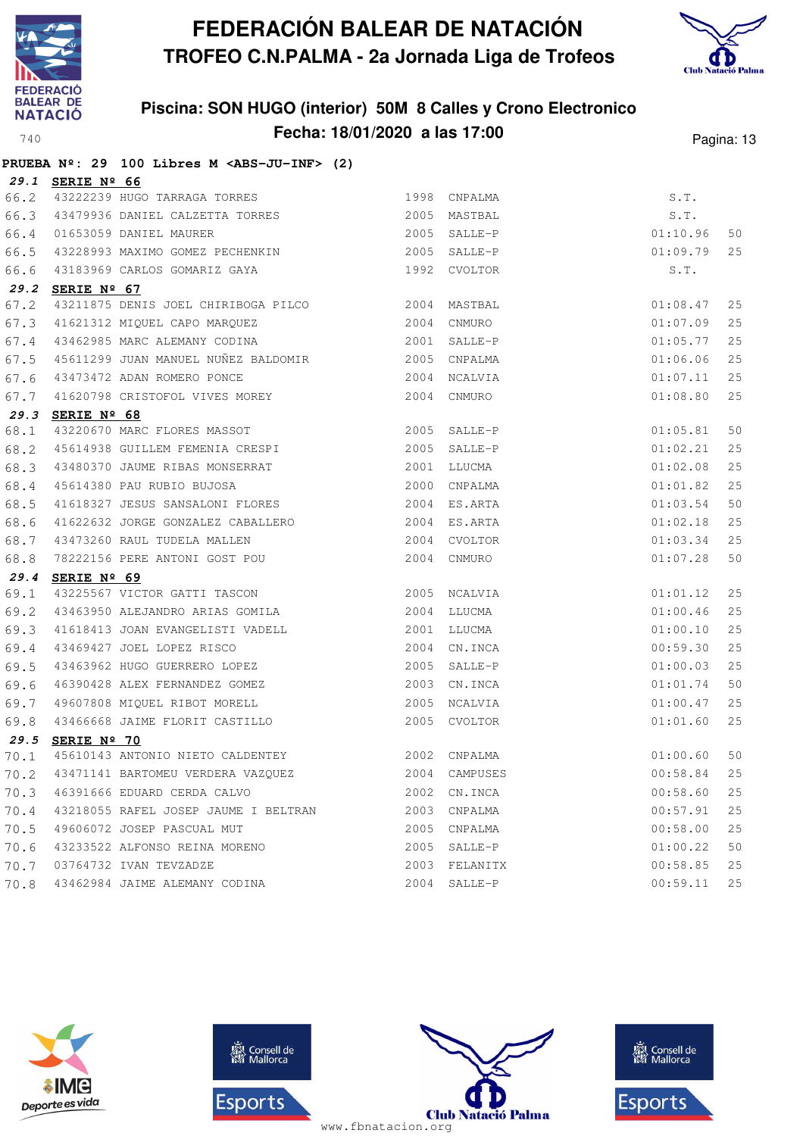



|      |                  | PRUEBA Nº: 29 100 Libres M <abs-ju-inf> (2)</abs-ju-inf>                                   |                |              |          |    |
|------|------------------|--------------------------------------------------------------------------------------------|----------------|--------------|----------|----|
|      | 29.1 SERIE Nº 66 |                                                                                            |                |              |          |    |
| 66.2 |                  | 43222239 HUGO TARRAGA TORRES                                                               | 1998           | CNPALMA      | S.T.     |    |
| 66.3 |                  | 43479936 DANIEL CALZETTA TORRES 2005 MASTBAL                                               |                |              | S.T.     |    |
| 66.4 |                  | 01653059 DANIEL MAURER                                                                     | $2005$ SALLE-P |              | 01:10.96 | 50 |
| 66.5 |                  | 43228993 MAXIMO GOMEZ PECHENKIN                                                            |                | 2005 SALLE-P | 01:09.79 | 25 |
| 66.6 |                  |                                                                                            |                |              | S.T.     |    |
| 29.2 | SERIE Nº 67      |                                                                                            |                |              |          |    |
| 67.2 |                  | 43211875 DENIS JOEL CHIRIBOGA PILCO 2004                                                   |                | MASTBAL      | 01:08.47 | 25 |
| 67.3 |                  | 41621312 MIQUEL CAPO MARQUEZ 2004                                                          |                | CNMURO       | 01:07.09 | 25 |
| 67.4 |                  | 43462985 MARC ALEMANY CODINA                                                               |                | 2001 SALLE-P | 01:05.77 | 25 |
| 67.5 |                  | 45611299 JUAN MANUEL NUÑEZ BALDOMIR 2005                                                   |                | CNPALMA      | 01:06.06 | 25 |
| 67.6 |                  | 43473472 ADAN ROMERO PONCE                                                                 |                | 2004 NCALVIA | 01:07.11 | 25 |
| 67.7 |                  | 41620798 CRISTOFOL VIVES MOREY                                                             |                | 2004 CNMURO  | 01:08.80 | 25 |
| 29.3 | SERIE Nº 68      |                                                                                            |                |              |          |    |
| 68.1 |                  | 43220670 MARC FLORES MASSOT                                                                |                | 2005 SALLE-P | 01:05.81 | 50 |
| 68.2 |                  | 45614938 GUILLEM FEMENIA CRESPI 2005 SALLE-P                                               |                |              | 01:02.21 | 25 |
| 68.3 |                  | 43480370 JAUME RIBAS MONSERRAT                                                             | 2001           | LLUCMA       | 01:02.08 | 25 |
| 68.4 |                  | 45614380 PAU RUBIO BUJOSA                                                                  |                | 2000 CNPALMA | 01:01.82 | 25 |
| 68.5 |                  | 41618327 JESUS SANSALONI FLORES 2004 ES.ARTA                                               |                |              | 01:03.54 | 50 |
| 68.6 |                  | 41622632 JORGE GONZALEZ CABALLERO 2004 ES.ARTA                                             |                |              | 01:02.18 | 25 |
| 68.7 |                  |                                                                                            | 2004           | CVOLTOR      | 01:03.34 | 25 |
| 68.8 |                  | 43473260 RAUL TUDELA MALLEN<br>78222156 PERE ANTONI GOST POU                               |                | 2004 CNMURO  | 01:07.28 | 50 |
| 29.4 | SERIE Nº 69      |                                                                                            |                |              |          |    |
| 69.1 |                  | 43225567 VICTOR GATTI TASCON                                                               |                | 2005 NCALVIA | 01:01.12 | 25 |
| 69.2 |                  | 43463950 ALEJANDRO ARIAS GOMILA 2004 LLUCMA                                                |                |              | 01:00.46 | 25 |
| 69.3 |                  | 41618413 JOAN EVANGELISTI VADELL<br>10160100 JOAN LORE PERSO                               | 2001           | LLUCMA       | 01:00.10 | 25 |
| 69.4 |                  |                                                                                            | 2004           | CN.INCA      | 00:59.30 | 25 |
| 69.5 |                  | 15765427 JOEL LOPEZ RISCO<br>43463962 HUGO GUERRERO LOPEZ<br>46390428 ALEX FERNANDEZ COUTT | 2005           | SALLE-P      | 01:00.03 | 25 |
| 69.6 |                  | 46390428 ALEX FERNANDEZ GOMEZ                                                              | 2003           | CN.INCA      | 01:01.74 | 50 |
| 69.7 |                  |                                                                                            |                | 2005 NCALVIA | 01:00.47 | 25 |
| 69.8 |                  | 49607808 MIQUEL RIBOT MORELL<br>43466668 JAIME FLORIT CASTILLO                             |                | 2005 CVOLTOR | 01:01.60 | 25 |
| 29.5 | SERIE Nº 70      |                                                                                            |                |              |          |    |
| 70.1 |                  | 45610143 ANTONIO NIETO CALDENTEY                                                           |                | 2002 CNPALMA | 01:00.60 | 50 |
| 70.2 |                  | 43471141 BARTOMEU VERDERA VAZQUEZ                                                          | 2004           | CAMPUSES     | 00:58.84 | 25 |
| 70.3 |                  | 46391666 EDUARD CERDA CALVO                                                                | 2002           | CN.INCA      | 00:58.60 | 25 |
|      |                  | 70.4 43218055 RAFEL JOSEP JAUME I BELTRAN                                                  |                | 2003 CNPALMA | 00:57.91 | 25 |
| 70.5 |                  | 49606072 JOSEP PASCUAL MUT                                                                 | 2005           | CNPALMA      | 00:58.00 | 25 |
| 70.6 |                  | 43233522 ALFONSO REINA MORENO                                                              | 2005           | SALLE-P      | 01:00.22 | 50 |
| 70.7 |                  | 03764732 IVAN TEVZADZE                                                                     | 2003           | FELANITX     | 00:58.85 | 25 |
| 70.8 |                  | 43462984 JAIME ALEMANY CODINA                                                              |                | 2004 SALLE-P | 00:59.11 | 25 |







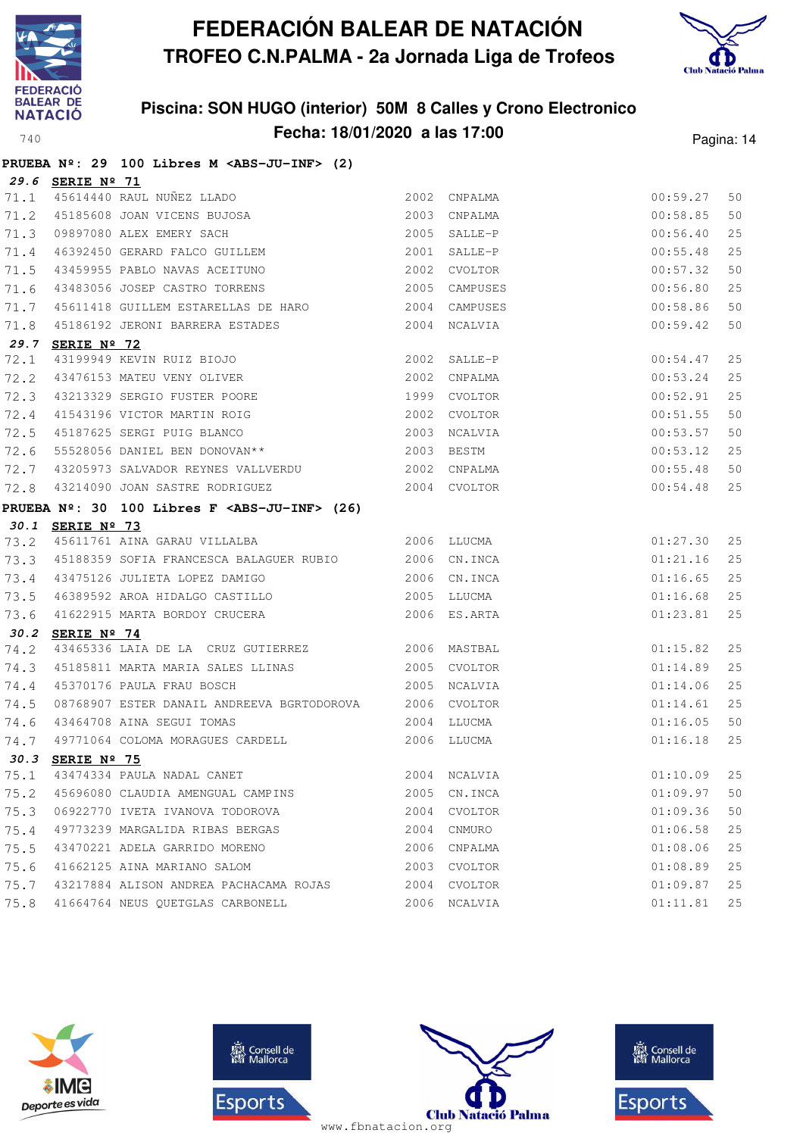



|      |                  | PRUEBA Nº: 29 100 Libres M <abs-ju-inf> (2)</abs-ju-inf>                                                                 |              |               |          |      |
|------|------------------|--------------------------------------------------------------------------------------------------------------------------|--------------|---------------|----------|------|
|      | 29.6 SERIE Nº 71 |                                                                                                                          |              |               |          |      |
|      |                  | 71.1 45614440 RAUL NUÑEZ LLADO                                                                                           |              | 2002 CNPALMA  | 00:59.27 | 50   |
| 71.2 |                  | 45614440 RAUL NUÑEZ LLADO<br>45185608 JOAN VICENS BUJOSA<br>09897080 ALEX EMERY SACH<br>46392450 GERARD FALCO GUILLEM    |              | 2003 CNPALMA  | 00:58.85 | 50   |
| 71.3 |                  |                                                                                                                          |              | 2005 SALLE-P  | 00:56.40 | 25   |
| 71.4 |                  |                                                                                                                          |              | 2001 SALLE-P  | 00:55.48 | 25   |
| 71.5 |                  | 43459955 PABLO NAVAS ACEITUNO 2002 CVOLTOR                                                                               |              |               | 00:57.32 | 50   |
| 71.6 |                  | 43483056 JOSEP CASTRO TORRENS                                                                                            |              | 2005 CAMPUSES | 00:56.80 | 25   |
| 71.7 |                  |                                                                                                                          |              |               | 00:58.86 | 50   |
| 71.8 |                  | 45186192 JERONI BARRERA ESTADES 2004 NCALVIA                                                                             |              |               | 00:59.42 | 50   |
|      | 29.7 SERIE Nº 72 |                                                                                                                          |              |               |          |      |
| 72.1 |                  | 43199949 KEVIN RUIZ BIOJO<br>43476153 MATEU VENY OLIVER<br>43213329 SERGIO FUSTER POORE 1999 CVOLTOR                     |              |               | 00:54.47 | 25   |
| 72.2 |                  |                                                                                                                          |              |               | 00:53.24 | 25   |
| 72.3 |                  |                                                                                                                          |              |               | 00:52.91 | 25   |
| 72.4 |                  | 2002 CVOLTOR<br>41543196 VICTOR MARTIN ROIG<br>45187625 SERGI PUIG BLANCO<br>55528056 DANIEL BEN DONOVAN**<br>2003 BESTM |              |               | 00:51.55 | 50   |
| 72.5 |                  |                                                                                                                          |              |               | 00:53.57 | 50   |
| 72.6 |                  |                                                                                                                          |              |               | 00:53.12 | 25   |
| 72.7 |                  |                                                                                                                          |              |               | 00:55.48 | 50   |
| 72.8 |                  | 43214090 JOAN SASTRE RODRIGUEZ                                                                                           | 2004 CVOLTOR |               | 00:54.48 | 25   |
|      |                  | PRUEBA $N^{\circ}$ : 30 100 Libres F <abs-ju-inf> (26)</abs-ju-inf>                                                      |              |               |          |      |
|      | 30.1 SERIE Nº 73 |                                                                                                                          |              |               |          |      |
| 73.2 |                  | 2006 LLUCMA<br>45611761 AINA GARAU VILLALBA                                                                              |              |               | 01:27.30 | 25   |
| 73.3 |                  | 45188359 SOFIA FRANCESCA BALAGUER RUBIO 2006 CN.INCA                                                                     |              |               | 01:21.16 | 25   |
| 73.4 |                  | 43475126 JULIETA LOPEZ DAMIGO                                                                                            | 2006 CN.INCA |               | 01:16.65 | 25   |
| 73.5 |                  | 46389592 AROA HIDALGO CASTILLO 2005 LLUCMA                                                                               |              |               | 01:16.68 | 25   |
| 73.6 |                  | 41622915 MARTA BORDOY CRUCERA 2006 ES.ARTA                                                                               |              |               | 01:23.81 | 25   |
| 30.2 | SERIE Nº 74      |                                                                                                                          |              |               |          |      |
| 74.2 |                  | 43465336 LAIA DE LA CRUZ GUTIERREZ 2006 MASTBAL                                                                          |              |               | 01:15.82 | 25   |
| 74.3 |                  | 45185811 MARTA MARIA SALES LLINAS                                                                                        |              | 2005 CVOLTOR  | 01:14.89 | 25   |
| 74.4 |                  | 45370176 PAULA FRAU BOSCH                                                                                                | 2005 NCALVIA |               | 01:14.06 | 25   |
| 74.5 |                  | 08768907 ESTER DANAIL ANDREEVA BGRTODOROVA 2006 CVOLTOR                                                                  |              |               | 01:14.61 | 25   |
|      |                  | 74.6 43464708 AINA SEGUI TOMAS                                                                                           | 2004 LLUCMA  |               | 01:16.05 | 50   |
| 74.7 |                  | 49771064 COLOMA MORAGUES CARDELL                                                                                         |              | 2006 LLUCMA   | 01:16.18 | 25   |
|      | 30.3 SERIE Nº 75 |                                                                                                                          |              |               |          |      |
| 75.1 |                  | 43474334 PAULA NADAL CANET                                                                                               | 2004         | NCALVIA       | 01:10.09 | 25   |
| 75.2 |                  | 45696080 CLAUDIA AMENGUAL CAMPINS                                                                                        | 2005         | CN.INCA       | 01:09.97 | 50   |
| 75.3 |                  | 06922770 IVETA IVANOVA TODOROVA                                                                                          |              | 2004 CVOLTOR  | 01:09.36 | 50   |
| 75.4 |                  | 49773239 MARGALIDA RIBAS BERGAS                                                                                          |              | 2004 CNMURO   | 01:06.58 | 25   |
| 75.5 |                  | 43470221 ADELA GARRIDO MORENO                                                                                            | 2006         | CNPALMA       | 01:08.06 | 25   |
| 75.6 |                  | 41662125 AINA MARIANO SALOM                                                                                              | 2003         | CVOLTOR       | 01:08.89 | $25$ |
| 75.7 |                  | 43217884 ALISON ANDREA PACHACAMA ROJAS                                                                                   |              | 2004 CVOLTOR  | 01:09.87 | 25   |
| 75.8 |                  | 41664764 NEUS QUETGLAS CARBONELL                                                                                         |              | 2006 NCALVIA  | 01:11.81 | 25   |







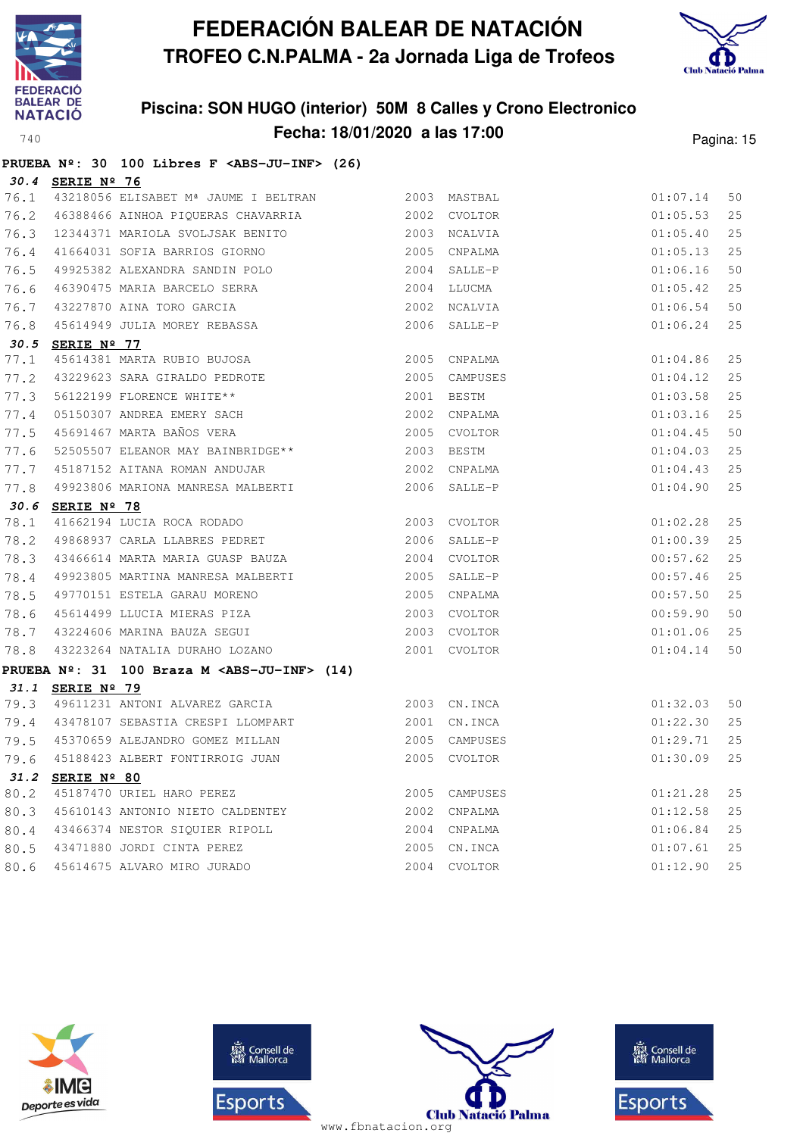



|      |                  | PRUEBA Nº: 30 100 Libres F <abs-ju-inf> (26)</abs-ju-inf>                                |            |               |          |    |
|------|------------------|------------------------------------------------------------------------------------------|------------|---------------|----------|----|
|      | 30.4 SERIE Nº 76 |                                                                                          |            |               |          |    |
| 76.1 |                  | 43218056 ELISABET Mª JAUME I BELTRAN               2003 MASTBAL                          |            |               | 01:07.14 | 50 |
| 76.2 |                  | 46388466 AINHOA PIQUERAS CHAVARRIA                                                       |            | 2002 CVOLTOR  | 01:05.53 | 25 |
| 76.3 |                  | 12344371 MARIOLA SVOLJSAK BENITO                                                         |            | 2003 NCALVIA  | 01:05.40 | 25 |
| 76.4 |                  | 41664031 SOFIA BARRIOS GIORNO                                                            | 2005       | CNPALMA       | 01:05.13 | 25 |
| 76.5 |                  | 49925382 ALEXANDRA SANDIN POLO                                                           |            | 2004 SALLE-P  | 01:06.16 | 50 |
| 76.6 |                  | 46390475 MARIA BARCELO SERRA                                                             |            | 2004 LLUCMA   | 01:05.42 | 25 |
| 76.7 |                  | 43227870 AINA TORO GARCIA                                                                |            | 2002 NCALVIA  | 01:06.54 | 50 |
| 76.8 |                  | 45614949 JULIA MOREY REBASSA                                                             |            | 2006 SALLE-P  | 01:06.24 | 25 |
|      | 30.5 SERIE Nº 77 |                                                                                          |            |               |          |    |
| 77.1 |                  | 45614381 MARTA RUBIO BUJOSA                                                              |            | 2005 CNPALMA  | 01:04.86 | 25 |
| 77.2 |                  | 43229623 SARA GIRALDO PEDROTE<br>56122199 FLORENCE WHITE**<br>05150307 ANDREA EMERY SACH |            | 2005 CAMPUSES | 01:04.12 | 25 |
| 77.3 |                  |                                                                                          |            | 2001 BESTM    | 01:03.58 | 25 |
| 77.4 |                  |                                                                                          | 2002       | CNPALMA       | 01:03.16 | 25 |
| 77.5 |                  | 45691467 MARTA BAÑOS VERA                                                                |            | 2005 CVOLTOR  | 01:04.45 | 50 |
| 77.6 |                  | 52505507 ELEANOR MAY BAINBRIDGE **                                                       | 2003 BESTM |               | 01:04.03 | 25 |
| 77.7 |                  | 45187152 AITANA ROMAN ANDUJAR 2002 CNPALMA                                               |            |               | 01:04.43 | 25 |
| 77.8 |                  | 49923806 MARIONA MANRESA MALBERTI                                                        |            | 2006 SALLE-P  | 01:04.90 | 25 |
|      | 30.6 SERIE Nº 78 |                                                                                          |            |               |          |    |
| 78.1 |                  | SERIE Nº 78<br>41662194 Lucia Roca Rodado                                                |            | 2003 CVOLTOR  | 01:02.28 | 25 |
| 78.2 |                  | 49868937 CARLA LLABRES PEDRET                                                            | 2006       | SALLE-P       | 01:00.39 | 25 |
| 78.3 |                  | 43466614 MARTA MARIA GUASP BAUZA                                                         |            | 2004 CVOLTOR  | 00:57.62 | 25 |
| 78.4 |                  | 49923805 MARTINA MANRESA MALBERTI                                                        |            | 2005 SALLE-P  | 00:57.46 | 25 |
| 78.5 |                  | 49770151 ESTELA GARAU MORENO                                                             |            | 2005 CNPALMA  | 00:57.50 | 25 |
| 78.6 |                  | 45614499 LLUCIA MIERAS PIZA                                                              |            | 2003 CVOLTOR  | 00:59.90 | 50 |
| 78.7 |                  | 43224606 MARINA BAUZA SEGUI                                                              |            | 2003 CVOLTOR  | 01:01.06 | 25 |
| 78.8 |                  | 43223264 NATALIA DURAHO LOZANO                                                           |            | 2001 CVOLTOR  | 01:04.14 | 50 |
|      |                  | PRUEBA $N^2$ : 31 100 Braza M <abs-ju-inf> (14)</abs-ju-inf>                             |            |               |          |    |
| 31.1 | SERIE Nº 79      |                                                                                          |            |               |          |    |
| 79.3 |                  | 49611231 ANTONI ALVAREZ GARCIA 62003 CN.INCA                                             |            |               | 01:32.03 | 50 |
|      |                  | 79.4 43478107 SEBASTIA CRESPI LLOMPART 2001 CN.INCA                                      |            |               | 01:22.30 | 25 |
|      |                  | 79.5 45370659 ALEJANDRO GOMEZ MILLAN                                                     |            | 2005 CAMPUSES | 01:29.71 | 25 |
| 79.6 |                  | 45188423 ALBERT FONTIRROIG JUAN                                                          |            | 2005 CVOLTOR  | 01:30.09 | 25 |
| 31.2 | SERIE Nº 80      |                                                                                          |            |               |          |    |
| 80.2 |                  | 45187470 URIEL HARO PEREZ                                                                | 2005       | CAMPUSES      | 01:21.28 | 25 |
| 80.3 |                  | 45610143 ANTONIO NIETO CALDENTEY                                                         | 2002       | CNPALMA       | 01:12.58 | 25 |
| 80.4 |                  | 43466374 NESTOR SIQUIER RIPOLL                                                           |            | 2004 CNPALMA  | 01:06.84 | 25 |
| 80.5 |                  | 43471880 JORDI CINTA PEREZ                                                               | 2005       | CN.INCA       | 01:07.61 | 25 |
| 80.6 |                  | 45614675 ALVARO MIRO JURADO                                                              | 2004       | CVOLTOR       | 01:12.90 | 25 |







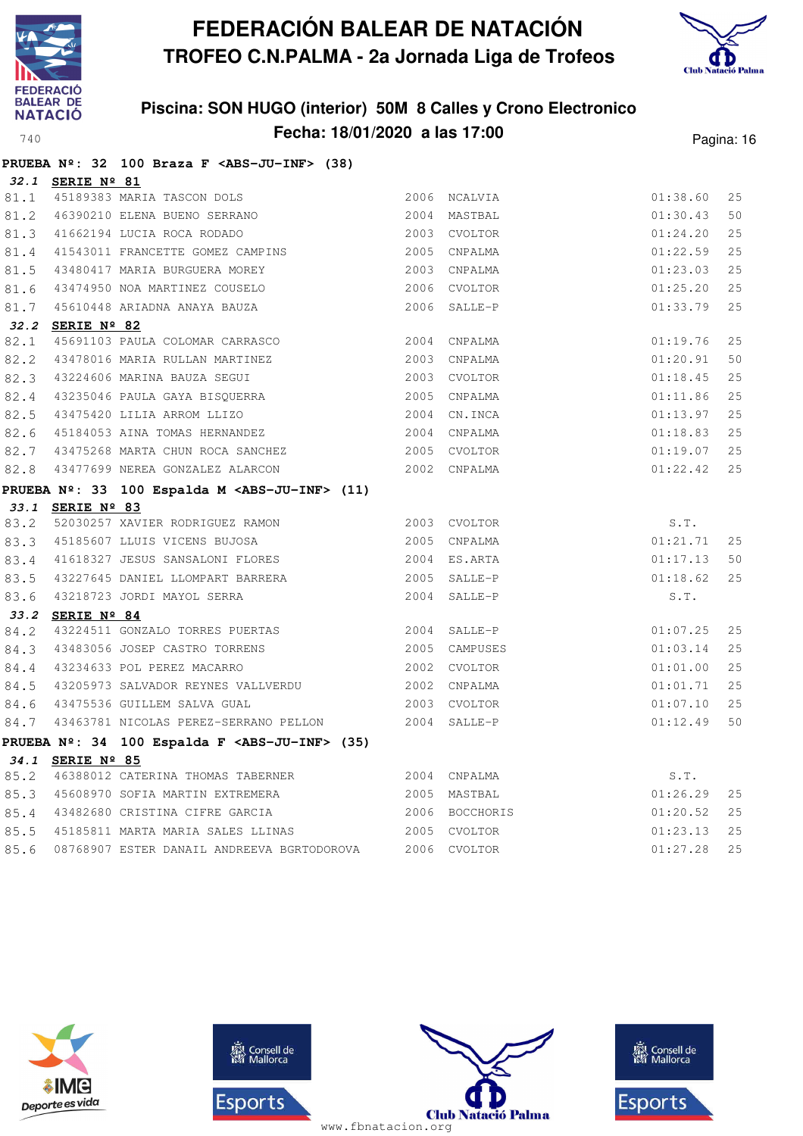



|      |                  | PRUEBA Nº: 32 100 Braza F <abs-ju-inf> (38)</abs-ju-inf>                                                                                                                                                                                   |              |               |          |    |
|------|------------------|--------------------------------------------------------------------------------------------------------------------------------------------------------------------------------------------------------------------------------------------|--------------|---------------|----------|----|
|      | 32.1 SERIE Nº 81 |                                                                                                                                                                                                                                            |              |               |          |    |
| 81.1 |                  | 45189383 MARIA TASCON DOLS 2006 NCALVIA                                                                                                                                                                                                    |              |               | 01:38.60 | 25 |
| 81.2 |                  | 46390210 ELENA BUENO SERRANO (2004 MASTBAL                                                                                                                                                                                                 |              |               | 01:30.43 | 50 |
| 81.3 |                  | 41662194 LUCIA ROCA RODADO                                                                                                                                                                                                                 | 2003 CVOLTOR |               | 01:24.20 | 25 |
| 81.4 |                  | 41543011 FRANCETTE GOMEZ CAMPINS 2005 CNPALMA                                                                                                                                                                                              |              |               | 01:22.59 | 25 |
| 81.5 |                  | 43480417 MARIA BURGUERA MOREY 2003 CNPALMA                                                                                                                                                                                                 |              |               | 01:23.03 | 25 |
| 81.6 |                  | 43474950 NOA MARTINEZ COUSELO 2006 CVOLTOR                                                                                                                                                                                                 |              |               | 01:25.20 | 25 |
| 81.7 |                  | 45610448 ARIADNA ANAYA BAUZA                                                                                                                                                                                                               |              | 2006 SALLE-P  | 01:33.79 | 25 |
|      | 32.2 SERIE Nº 82 |                                                                                                                                                                                                                                            |              |               |          |    |
| 82.1 |                  |                                                                                                                                                                                                                                            |              |               | 01:19.76 | 25 |
| 82.2 |                  |                                                                                                                                                                                                                                            |              |               | 01:20.91 | 50 |
| 82.3 |                  |                                                                                                                                                                                                                                            |              |               | 01:18.45 | 25 |
| 82.4 |                  | SERIE Nº 82<br>45691103 PAULA COLOMAR CARRASCO 2004 CNPALMA<br>43478016 MARIA RULLAN MARTINEZ<br>43224606 MARINA BAUZA SEGUI 2003 CVOLTOR<br>43235046 PAULA GAYA BISQUERRA 2005 CNPALMA<br>43475420 LILIA ARROM LLIZO 2004 CN.INCA<br>4518 |              |               | 01:11.86 | 25 |
| 82.5 |                  |                                                                                                                                                                                                                                            |              |               | 01:13.97 | 25 |
| 82.6 |                  |                                                                                                                                                                                                                                            |              |               | 01:18.83 | 25 |
| 82.7 |                  | 43475268 MARTA CHUN ROCA SANCHEZ 2005 CVOLTOR                                                                                                                                                                                              |              |               | 01:19.07 | 25 |
| 82.8 |                  | 43477699 NEREA GONZALEZ ALARCON 2002 CNPALMA                                                                                                                                                                                               |              |               | 01:22.42 | 25 |
|      |                  | PRUEBA Nº: 33 100 Espalda M <abs-ju-inf> (11)</abs-ju-inf>                                                                                                                                                                                 |              |               |          |    |
|      | 33.1 SERIE Nº 83 |                                                                                                                                                                                                                                            |              |               |          |    |
| 83.2 |                  | 52030257 XAVIER RODRIGUEZ RAMON 2003 CVOLTOR                                                                                                                                                                                               |              |               | S.T.     |    |
| 83.3 |                  | 45185607 LLUIS VICENS BUJOSA 2005 CNPALMA                                                                                                                                                                                                  |              |               | 01:21.71 | 25 |
| 83.4 |                  | 41618327 JESUS SANSALONI FLORES 2004 ES.ARTA                                                                                                                                                                                               |              |               | 01:17.13 | 50 |
|      |                  |                                                                                                                                                                                                                                            |              |               | 01:18.62 | 25 |
|      |                  | 83.5 43227645 DANIEL LLOMPART BARRERA 2005 SALLE-P<br>83.6 43218723 JORDI MAYOL SERRA 2004 SALLE-P                                                                                                                                         |              |               | S.T.     |    |
|      | 33.2 SERIE Nº 84 |                                                                                                                                                                                                                                            |              |               |          |    |
| 84.2 |                  | 43224511 GONZALO TORRES PUERTAS 2004 SALLE-P                                                                                                                                                                                               |              |               | 01:07.25 | 25 |
| 84.3 |                  |                                                                                                                                                                                                                                            |              | 2005 CAMPUSES | 01:03.14 | 25 |
| 84.4 |                  |                                                                                                                                                                                                                                            |              |               | 01:01.00 | 25 |
| 84.5 |                  | 1929<br>19205973 SALVADOR REYNES VALLVERDU 1990 2002 CNPALMA<br>19275596 GUITLEM SALVA GUAL 1990 2003 CVOLTOR                                                                                                                              |              |               | 01:01.71 | 25 |
| 84.6 |                  |                                                                                                                                                                                                                                            |              |               | 01:07.10 | 25 |
| 84.7 |                  | 43463781 NICOLAS PEREZ-SERRANO PELLON 2004 SALLE-P                                                                                                                                                                                         |              |               | 01:12.49 | 50 |
|      |                  | PRUEBA Nº: 34 100 Espalda F <abs-ju-inf> (35)</abs-ju-inf>                                                                                                                                                                                 |              |               |          |    |
|      | 34.1 SERIE Nº 85 |                                                                                                                                                                                                                                            |              |               |          |    |
| 85.2 |                  |                                                                                                                                                                                                                                            |              |               | S.T.     |    |
| 85.3 |                  |                                                                                                                                                                                                                                            |              |               | 01:26.29 | 25 |
| 85.4 |                  | 43482680 CRISTINA CIFRE GARCIA 6 2006 BOCCHORIS                                                                                                                                                                                            |              |               | 01:20.52 | 25 |
| 85.5 |                  | 45185811 MARTA MARIA SALES LLINAS 2005 CVOLTOR                                                                                                                                                                                             |              |               | 01:23.13 | 25 |
| 85.6 |                  | 08768907 ESTER DANAIL ANDREEVA BGRTODOROVA 2006 CVOLTOR                                                                                                                                                                                    |              |               | 01:27.28 | 25 |







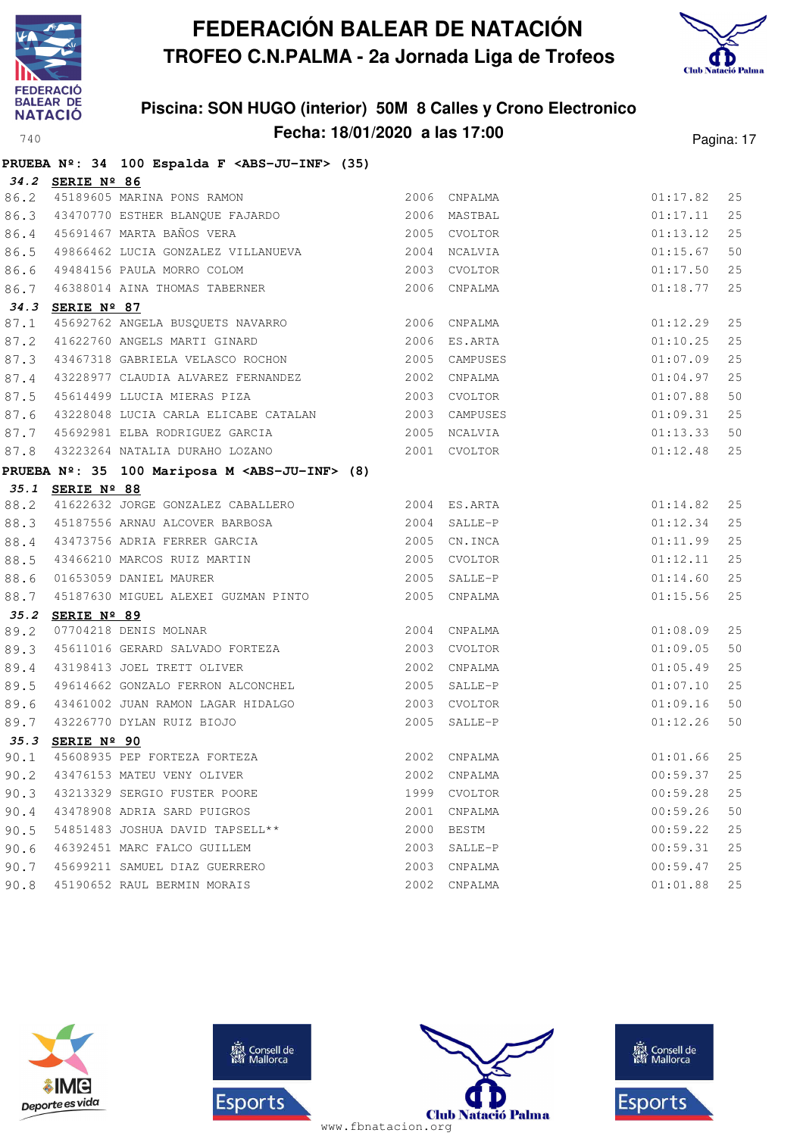



|      |                  | PRUEBA Nº: 34 100 Espalda F <abs-ju-inf> (35)</abs-ju-inf>                           |              |                |          |    |
|------|------------------|--------------------------------------------------------------------------------------|--------------|----------------|----------|----|
|      | 34.2 SERIE Nº 86 |                                                                                      |              |                |          |    |
| 86.2 |                  |                                                                                      |              | 2006 CNPALMA   | 01:17.82 | 25 |
| 86.3 |                  | SEKIE Nº 00<br>45189605 MARINA PONS RAMON<br>43470770 ESTHER BLANQUE FAJARDO         | 2006 MASTBAL |                | 01:17.11 | 25 |
| 86.4 |                  | 2005 CVOLTOR<br>45691467 MARTA BAÑOS VERA                                            |              |                | 01:13.12 | 25 |
| 86.5 |                  | 49866462 LUCIA GONZALEZ VILLANUEVA 2004 NCALVIA                                      |              |                | 01:15.67 | 50 |
| 86.6 |                  |                                                                                      |              |                | 01:17.50 | 25 |
| 86.7 |                  | 49484156 PAULA MORRO COLOM (2003 CVOLTOR 46388014 AINA THOMAS TABERNER (2006 CNPALMA |              |                | 01:18.77 | 25 |
|      | 34.3 SERIE Nº 87 |                                                                                      |              |                |          |    |
| 87.1 |                  | 45692762 ANGELA BUSQUETS NAVARRO 2006 CNPALMA                                        |              |                | 01:12.29 | 25 |
| 87.2 |                  | 41622760 ANGELS MARTI GINARD 2006 ES.ARTA                                            |              |                | 01:10.25 | 25 |
| 87.3 |                  | 43467318 GABRIELA VELASCO ROCHON 2005 CAMPUSES                                       |              |                | 01:07.09 | 25 |
| 87.4 |                  | 43228977 CLAUDIA ALVAREZ FERNANDEZ 2002 CNPALMA                                      |              |                | 01:04.97 | 25 |
| 87.5 |                  | 45614499 LLUCIA MIERAS PIZA<br>2003 CVOLTOR                                          |              |                | 01:07.88 | 50 |
| 87.6 |                  | 43228048 LUCIA CARLA ELICABE CATALAN 2003 CAMPUSES                                   |              |                | 01:09.31 | 25 |
| 87.7 |                  | 45692981 ELBA RODRIGUEZ GARCIA                                                       |              | 2005 NCALVIA   | 01:13.33 | 50 |
| 87.8 |                  |                                                                                      |              |                | 01:12.48 | 25 |
|      |                  | PRUEBA Nº: 35 100 Mariposa M <abs-ju-inf> (8)</abs-ju-inf>                           |              |                |          |    |
|      | 35.1 SERIE Nº 88 |                                                                                      |              |                |          |    |
| 88.2 |                  | 41622632 JORGE GONZALEZ CABALLERO                                                    |              | 2004 ES.ARTA   | 01:14.82 | 25 |
| 88.3 |                  | 45187556 ARNAU ALCOVER BARBOSA 2004 SALLE-P                                          |              |                | 01:12.34 | 25 |
| 88.4 |                  |                                                                                      |              |                | 01:11.99 | 25 |
| 88.5 |                  |                                                                                      |              |                | 01:12.11 | 25 |
| 88.6 |                  |                                                                                      |              |                | 01:14.60 | 25 |
| 88.7 |                  | 45187630 MIGUEL ALEXEI GUZMAN PINTO 2005 CNPALMA                                     |              |                | 01:15.56 | 25 |
| 35.2 | SERIE Nº 89      |                                                                                      |              |                |          |    |
| 89.2 |                  | 2004 CNPALMA<br>07704218 DENIS MOLNAR                                                |              |                | 01:08.09 | 25 |
| 89.3 |                  |                                                                                      |              |                | 01:09.05 | 50 |
| 89.4 |                  | 2002 CNPALMA<br>43198413 JOEL TRETT OLIVER                                           |              |                | 01:05.49 | 25 |
| 89.5 |                  | 49614662 GONZALO FERRON ALCONCHEL                                                    |              | 2005 SALLE-P   | 01:07.10 | 25 |
| 89.6 |                  | 43461002 JUAN RAMON LAGAR HIDALGO                                                    |              | 2003 CVOLTOR   | 01:09.16 | 50 |
| 89.7 |                  | 43226770 DYLAN RUIZ BIOJO                                                            |              | 2005 SALLE-P   | 01:12.26 | 50 |
|      | 35.3 SERIE Nº 90 |                                                                                      |              |                |          |    |
| 90.1 |                  | 45608935 PEP FORTEZA FORTEZA                                                         |              | 2002 CNPALMA   | 01:01.66 | 25 |
| 90.2 |                  | 43476153 MATEU VENY OLIVER                                                           | 2002         | CNPALMA        | 00:59.37 | 25 |
| 90.3 |                  | 43213329 SERGIO FUSTER POORE                                                         | 1999         | <b>CVOLTOR</b> | 00:59.28 | 25 |
| 90.4 |                  | 43478908 ADRIA SARD PUIGROS                                                          | 2001         | CNPALMA        | 00:59.26 | 50 |
| 90.5 |                  | 54851483 JOSHUA DAVID TAPSELL**                                                      | 2000         | BESTM          | 00:59.22 | 25 |
| 90.6 |                  | 46392451 MARC FALCO GUILLEM                                                          | 2003         | SALLE-P        | 00:59.31 | 25 |
| 90.7 |                  | 45699211 SAMUEL DIAZ GUERRERO                                                        | 2003         | CNPALMA        | 00:59.47 | 25 |
| 90.8 |                  | 45190652 RAUL BERMIN MORAIS                                                          | 2002         | CNPALMA        | 01:01.88 | 25 |







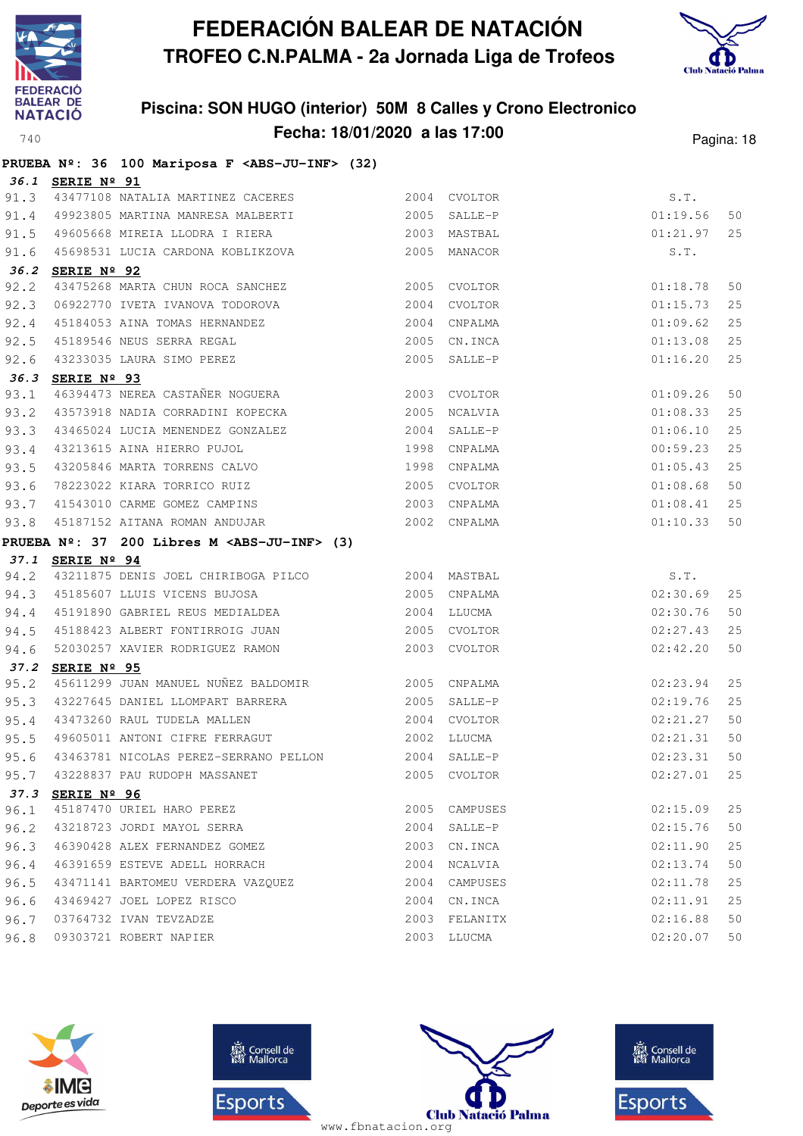



|      |                  | PRUEBA Nº: 36 100 Mariposa F <abs-ju-inf> (32)</abs-ju-inf>                                                                           |              |               |          |    |
|------|------------------|---------------------------------------------------------------------------------------------------------------------------------------|--------------|---------------|----------|----|
|      | 36.1 SERIE Nº 91 |                                                                                                                                       |              |               |          |    |
| 91.3 |                  | 43477108 NATALIA MARTINEZ CACERES                                                                                                     |              | 2004 CVOLTOR  | S.T.     |    |
| 91.4 |                  | 49923805 MARTINA MANRESA MALBERTI                                                                                                     | 2005 SALLE-P |               | 01:19.56 | 50 |
| 91.5 |                  |                                                                                                                                       |              |               | 01:21.97 | 25 |
| 91.6 |                  | 45698531 LUCIA CARDONA KOBLIKZOVA 2005 MANACOR                                                                                        |              |               | S.T.     |    |
|      | 36.2 SERIE Nº 92 |                                                                                                                                       |              |               |          |    |
| 92.2 |                  | 43475268 MARTA CHUN ROCA SANCHEZ 2005 CVOLTOR                                                                                         |              |               | 01:18.78 | 50 |
| 92.3 |                  | 06922770 IVETA IVANOVA TODOROVA 2004 CVOLTOR                                                                                          |              |               | 01:15.73 | 25 |
| 92.4 |                  | 45184053 AINA TOMAS HERNANDEZ 2004 CNPALMA                                                                                            |              |               | 01:09.62 | 25 |
| 92.5 |                  | 45189546 NEUS SERRA REGAL (2005 CN.INCA)<br>43233035 LAURA SIMO PEREZ (2005 SALLE-P                                                   |              |               | 01:13.08 | 25 |
| 92.6 |                  |                                                                                                                                       |              |               | 01:16.20 | 25 |
|      | 36.3 SERIE Nº 93 |                                                                                                                                       |              |               |          |    |
| 93.1 |                  | 46394473 NEREA CASTAÑER NOGUERA 2003 CVOLTOR                                                                                          |              |               | 01:09.26 | 50 |
| 93.2 |                  | 43573918 NADIA CORRADINI KOPECKA 2005 NCALVIA                                                                                         |              |               | 01:08.33 | 25 |
| 93.3 |                  | 43465024 LUCIA MENENDEZ GONZALEZ (2004 SALLE-P<br>43213615 AINA HIERRO PUJOL (1998 CNPALMA 13205846 MARTA TORRENS CALVO (1998 CNPALMA |              |               | 01:06.10 | 25 |
| 93.4 |                  |                                                                                                                                       |              |               | 00:59.23 | 25 |
| 93.5 |                  |                                                                                                                                       |              |               | 01:05.43 | 25 |
| 93.6 |                  | 78223022 KIARA TORRICO RUIZ 2005 CVOLTOR                                                                                              |              |               | 01:08.68 | 50 |
| 93.7 |                  | 41543010 CARME GOMEZ CAMPINS 2003 CNPALMA                                                                                             |              |               | 01:08.41 | 25 |
| 93.8 |                  | 45187152 AITANA ROMAN ANDUJAR                                                                                                         | 2002 CNPALMA |               | 01:10.33 | 50 |
|      |                  | PRUEBA Nº: 37 200 Libres M <abs-ju-inf> (3)</abs-ju-inf>                                                                              |              |               |          |    |
|      | 37.1 SERIE Nº 94 |                                                                                                                                       |              |               |          |    |
| 94.2 |                  | 43211875 DENIS JOEL CHIRIBOGA PILCO 2004 MASTBAL                                                                                      |              |               | S.T.     |    |
|      |                  |                                                                                                                                       | 2005 CNPALMA |               | 02:30.69 | 25 |
|      |                  |                                                                                                                                       |              |               | 02:30.76 | 50 |
| 94.5 |                  | 45188423 ALBERT FONTIRROIG JUAN 2005 CVOLTOR                                                                                          |              |               | 02:27.43 | 25 |
| 94.6 |                  | 52030257 XAVIER RODRIGUEZ RAMON                                                                                                       |              | 2003 CVOLTOR  | 02:42.20 | 50 |
|      | 37.2 SERIE Nº 95 |                                                                                                                                       |              |               |          |    |
| 95.2 |                  | 45611299 JUAN MANUEL NUÑEZ BALDOMIR<br>2005 CNPALMA                                                                                   |              |               | 02:23.94 | 25 |
| 95.3 |                  | 43227645 DANIEL LLOMPART BARRERA 2005 SALLE-P                                                                                         |              |               | 02:19.76 | 25 |
| 95.4 |                  | 43473260 RAUL TUDELA MALLEN                                                                                                           | 2004 CVOLTOR |               | 02:21.27 | 50 |
| 95.5 |                  | 49605011 ANTONI CIFRE FERRAGUT 2002 LLUCMA                                                                                            |              |               | 02:21.31 | 50 |
| 95.6 |                  | 43463781 NICOLAS PEREZ-SERRANO PELLON 2004 SALLE-P                                                                                    |              |               | 02:23.31 | 50 |
| 95.7 |                  | 43228837 PAU RUDOPH MASSANET                                                                                                          |              | 2005 CVOLTOR  | 02:27.01 | 25 |
| 37.3 | SERIE Nº 96      |                                                                                                                                       |              |               |          |    |
| 96.1 |                  | 45187470 URIEL HARO PEREZ                                                                                                             |              | 2005 CAMPUSES | 02:15.09 | 25 |
| 96.2 |                  | 43218723 JORDI MAYOL SERRA                                                                                                            |              | 2004 SALLE-P  | 02:15.76 | 50 |
| 96.3 |                  | 46390428 ALEX FERNANDEZ GOMEZ                                                                                                         |              | 2003 CN.INCA  | 02:11.90 | 25 |
| 96.4 |                  | 46391659 ESTEVE ADELL HORRACH                                                                                                         |              | 2004 NCALVIA  | 02:13.74 | 50 |
| 96.5 |                  | 43471141 BARTOMEU VERDERA VAZQUEZ                                                                                                     |              | 2004 CAMPUSES | 02:11.78 | 25 |
| 96.6 |                  | 43469427 JOEL LOPEZ RISCO                                                                                                             |              | 2004 CN.INCA  | 02:11.91 | 25 |
| 96.7 |                  | 03764732 IVAN TEVZADZE                                                                                                                |              | 2003 FELANITX | 02:16.88 | 50 |
| 96.8 |                  | 09303721 ROBERT NAPIER                                                                                                                |              | 2003 LLUCMA   | 02:20.07 | 50 |







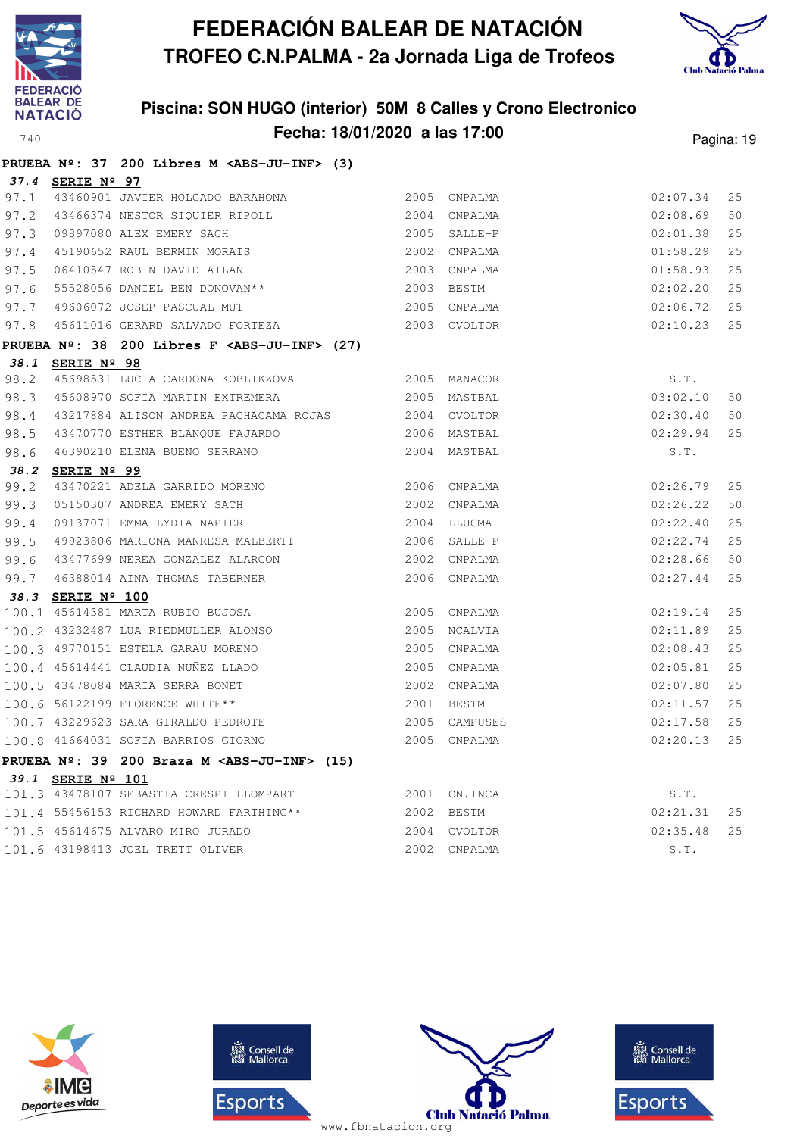



|      |                   | PRUEBA Nº: 37 200 Libres M <abs-ju-inf> (3)</abs-ju-inf>     |              |               |          |    |
|------|-------------------|--------------------------------------------------------------|--------------|---------------|----------|----|
|      | 37.4 SERIE Nº 97  |                                                              |              |               |          |    |
| 97.1 |                   | 43460901 JAVIER HOLGADO BARAHONA                             |              | 2005 CNPALMA  | 02:07.34 | 25 |
| 97.2 |                   | 43466374 NESTOR SIQUIER RIPOLL                               |              | 2004 CNPALMA  | 02:08.69 | 50 |
| 97.3 |                   | 09897080 ALEX EMERY SACH                                     |              | 2005 SALLE-P  | 02:01.38 | 25 |
| 97.4 |                   | 45190652 RAUL BERMIN MORAIS                                  |              | 2002 CNPALMA  | 01:58.29 | 25 |
| 97.5 |                   | 06410547 ROBIN DAVID AILAN                                   |              | 2003 CNPALMA  | 01:58.93 | 25 |
| 97.6 |                   | 55528056 DANIEL BEN DONOVAN**                                |              | 2003 BESTM    | 02:02.20 | 25 |
| 97.7 |                   | 49606072 JOSEP PASCUAL MUT                                   |              | 2005 CNPALMA  | 02:06.72 | 25 |
| 97.8 |                   | 45611016 GERARD SALVADO FORTEZA                              |              | 2003 CVOLTOR  | 02:10.23 | 25 |
|      |                   | PRUEBA Nº: 38 200 Libres F <abs-ju-inf> (27)</abs-ju-inf>    |              |               |          |    |
|      | 38.1 SERIE Nº 98  |                                                              |              |               |          |    |
| 98.2 |                   |                                                              |              |               | S.T.     |    |
| 98.3 |                   | 45608970 SOFIA MARTIN EXTREMERA                              | 2005 MASTBAL |               | 03:02.10 | 50 |
| 98.4 |                   |                                                              |              |               | 02:30.40 | 50 |
| 98.5 |                   | 43470770 ESTHER BLANOUE FAJARDO                              |              | 2006 MASTBAL  | 02:29.94 | 25 |
| 98.6 |                   | 46390210 ELENA BUENO SERRANO                                 |              | 2004 MASTBAL  | S.T.     |    |
| 38.2 | SERIE Nº 99       |                                                              |              |               |          |    |
| 99.2 |                   | 43470221 ADELA GARRIDO MORENO<br>05150307 ANDREA EMERY SACH  |              | 2006 CNPALMA  | 02:26.79 | 25 |
| 99.3 |                   |                                                              |              | 2002 CNPALMA  | 02:26.22 | 50 |
| 99.4 |                   | 09137071 EMMA LYDIA NAPIER                                   |              | 2004 LLUCMA   | 02:22.40 | 25 |
| 99.5 |                   | 49923806 MARIONA MANRESA MALBERTI                            |              | 2006 SALLE-P  | 02:22.74 | 25 |
|      |                   | 99.6 43477699 NEREA GONZALEZ ALARCON                         |              | 2002 CNPALMA  | 02:28.66 | 50 |
|      |                   | 99.7 46388014 AINA THOMAS TABERNER                           |              | 2006 CNPALMA  | 02:27.44 | 25 |
|      | 38.3 SERIE Nº 100 |                                                              |              |               |          |    |
|      |                   | 100.1 45614381 MARTA RUBIO BUJOSA                            |              | 2005 CNPALMA  | 02:19.14 | 25 |
|      |                   | 100.2 43232487 LUA RIEDMULLER ALONSO                         | 2005 NCALVIA |               | 02:11.89 | 25 |
|      |                   | 100.3 49770151 ESTELA GARAU MORENO                           |              | 2005 CNPALMA  | 02:08.43 | 25 |
|      |                   | 100.4 45614441 CLAUDIA NUÑEZ LLADO                           |              | 2005 CNPALMA  | 02:05.81 | 25 |
|      |                   | 100.5 43478084 MARIA SERRA BONET                             |              | 2002 CNPALMA  | 02:07.80 | 25 |
|      |                   | 100.6 56122199 FLORENCE WHITE**                              |              | 2001 BESTM    | 02:11.57 | 25 |
|      |                   | 100.7 43229623 SARA GIRALDO PEDROTE                          |              | 2005 CAMPUSES | 02:17.58 | 25 |
|      |                   | 100.8 41664031 SOFIA BARRIOS GIORNO                          |              | 2005 CNPALMA  | 02:20.13 | 25 |
|      |                   | PRUEBA $N^2$ : 39 200 Braza M <abs-ju-inf> (15)</abs-ju-inf> |              |               |          |    |
|      | 39.1 SERIE Nº 101 |                                                              |              |               |          |    |
|      |                   | 101.3 43478107 SEBASTIA CRESPI LLOMPART                      |              | 2001 CN.INCA  | S.T.     |    |
|      |                   | 101.4 55456153 RICHARD HOWARD FARTHING**                     | 2002 BESTM   |               | 02:21.31 | 25 |
|      |                   | 101.5 45614675 ALVARO MIRO JURADO                            |              | 2004 CVOLTOR  | 02:35.48 | 25 |
|      |                   | 101.6 43198413 JOEL TRETT OLIVER                             |              | 2002 CNPALMA  | S.T.     |    |







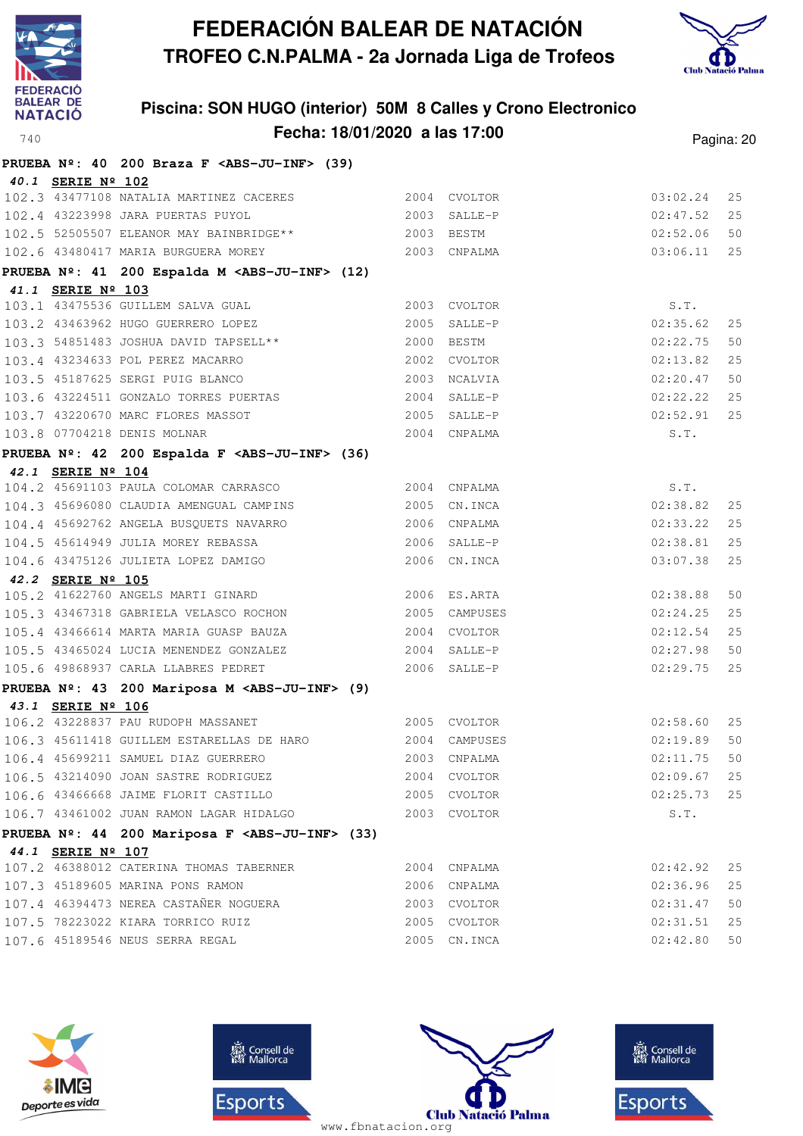



|                   | PRUEBA $N^2$ : 40 200 Braza F <abs-ju-inf> (39)</abs-ju-inf>                 |      |               |                  |    |
|-------------------|------------------------------------------------------------------------------|------|---------------|------------------|----|
| 40.1 SERIE Nº 102 |                                                                              |      |               |                  |    |
|                   | 102.3 43477108 NATALIA MARTINEZ CACERES 2004 CVOLTOR                         |      |               | 03:02.24         | 25 |
|                   | 102.4 43223998 JARA PUERTAS PUYOL                                            |      | 2003 SALLE-P  | 02:47.52         | 25 |
|                   | 102.5 52505507 ELEANOR MAY BAINBRIDGE** 2003 BESTM                           |      |               | 02:52.06         | 50 |
|                   | 102.6 43480417 MARIA BURGUERA MOREY<br>2003 CNPALMA                          |      |               | 03:06.11         | 25 |
|                   | PRUEBA Nº: 41 200 Espalda M <abs-ju-inf> (12)</abs-ju-inf>                   |      |               |                  |    |
| 41.1 SERIE Nº 103 |                                                                              |      |               |                  |    |
|                   | 103.1 43475536 GUILLEM SALVA GUAL                                            |      | 2003 CVOLTOR  | S.T.             |    |
|                   | 103.2 43463962 HUGO GUERRERO LOPEZ                                           |      | 2005 SALLE-P  | 02:35.62         | 25 |
|                   | 103.3 54851483 JOSHUA DAVID TAPSELL**                                        |      | 2000 BESTM    | 02:22.75         | 50 |
|                   | 103.4 43234633 POL PEREZ MACARRO<br>103.5 45187625 SERGI PUIG BLANCO         |      | 2002 CVOLTOR  | 02:13.82         | 25 |
|                   |                                                                              |      | 2003 NCALVIA  | 02:20.47         | 50 |
|                   | 103.6 43224511 GONZALO TORRES PUERTAS                                        |      | 2004 SALLE-P  | 02:22.22         | 25 |
|                   | 103.7 43220670 MARC FLORES MASSOT                                            |      | 2005 SALLE-P  | 02:52.91         | 25 |
|                   | 103.8 07704218 DENIS MOLNAR                                                  |      | 2004 CNPALMA  | S.T.             |    |
|                   | PRUEBA Nº: 42 200 Espalda F <abs-ju-inf> (36)</abs-ju-inf>                   |      |               |                  |    |
| 42.1 SERIE Nº 104 | 104.2 45691103 PAULA COLOMAR CARRASCO                                        |      | 2004 CNPALMA  |                  |    |
|                   |                                                                              |      | 2005 CN.INCA  | S.T.<br>02:38.82 | 25 |
|                   | 104.3 45696080 CLAUDIA AMENGUAL CAMPINS                                      |      | 2006 CNPALMA  | 02:33.22         | 25 |
|                   | 104.4 45692762 ANGELA BUSQUETS NAVARRO<br>104.5 45614949 JULIA MOREY REBASSA |      | 2006 SALLE-P  | 02:38.81         | 25 |
|                   | 104.6 43475126 JULIETA LOPEZ DAMIGO                                          |      | 2006 CN.INCA  | 03:07.38         | 25 |
| 42.2 SERIE Nº 105 |                                                                              |      |               |                  |    |
|                   | 105.2 41622760 ANGELS MARTI GINARD                                           |      | 2006 ES.ARTA  | 02:38.88         | 50 |
|                   | 105.3 43467318 GABRIELA VELASCO ROCHON                                       |      | 2005 CAMPUSES | 02:24.25         | 25 |
|                   | 105.4 43466614 MARTA MARIA GUASP BAUZA                                       |      | 2004 CVOLTOR  | 02:12.54         | 25 |
|                   | 105.5 43465024 LUCIA MENENDEZ GONZALEZ                                       |      | 2004 SALLE-P  | 02:27.98         | 50 |
|                   | 105.6 49868937 CARLA LLABRES PEDRET                                          |      | 2006 SALLE-P  | 02:29.75         | 25 |
|                   | PRUEBA Nº: 43 200 Mariposa M <abs-ju-inf> (9)</abs-ju-inf>                   |      |               |                  |    |
| 43.1 SERIE Nº 106 |                                                                              |      |               |                  |    |
|                   | 106.2 43228837 PAU RUDOPH MASSANET                                           |      | 2005 CVOLTOR  | 02:58.60         | 25 |
|                   | 106.3 45611418 GUILLEM ESTARELLAS DE HARO                                    |      | 2004 CAMPUSES | 02:19.89         | 50 |
|                   | 106.4 45699211 SAMUEL DIAZ GUERRERO                                          |      | 2003 CNPALMA  | 02:11.75         | 50 |
|                   | 106.5 43214090 JOAN SASTRE RODRIGUEZ                                         |      | 2004 CVOLTOR  | 02:09.67         | 25 |
|                   | 106.6 43466668 JAIME FLORIT CASTILLO                                         |      | 2005 CVOLTOR  | 02:25.73         | 25 |
|                   | 106.7 43461002 JUAN RAMON LAGAR HIDALGO                                      |      | 2003 CVOLTOR  | S.T.             |    |
|                   | PRUEBA Nº: 44 200 Mariposa F <abs-ju-inf> (33)</abs-ju-inf>                  |      |               |                  |    |
| 44.1 SERIE Nº 107 |                                                                              |      |               |                  |    |
|                   | 107.2 46388012 CATERINA THOMAS TABERNER                                      | 2004 | CNPALMA       | 02:42.92         | 25 |
|                   | 107.3 45189605 MARINA PONS RAMON                                             |      | 2006 CNPALMA  | 02:36.96         | 25 |
|                   | 107.4 46394473 NEREA CASTAÑER NOGUERA                                        |      | 2003 CVOLTOR  | 02:31.47         | 50 |
|                   | 107.5 78223022 KIARA TORRICO RUIZ                                            |      | 2005 CVOLTOR  | 02:31.51         | 25 |
|                   | 107.6 45189546 NEUS SERRA REGAL                                              |      | 2005 CN. INCA | 02:42.80         | 50 |







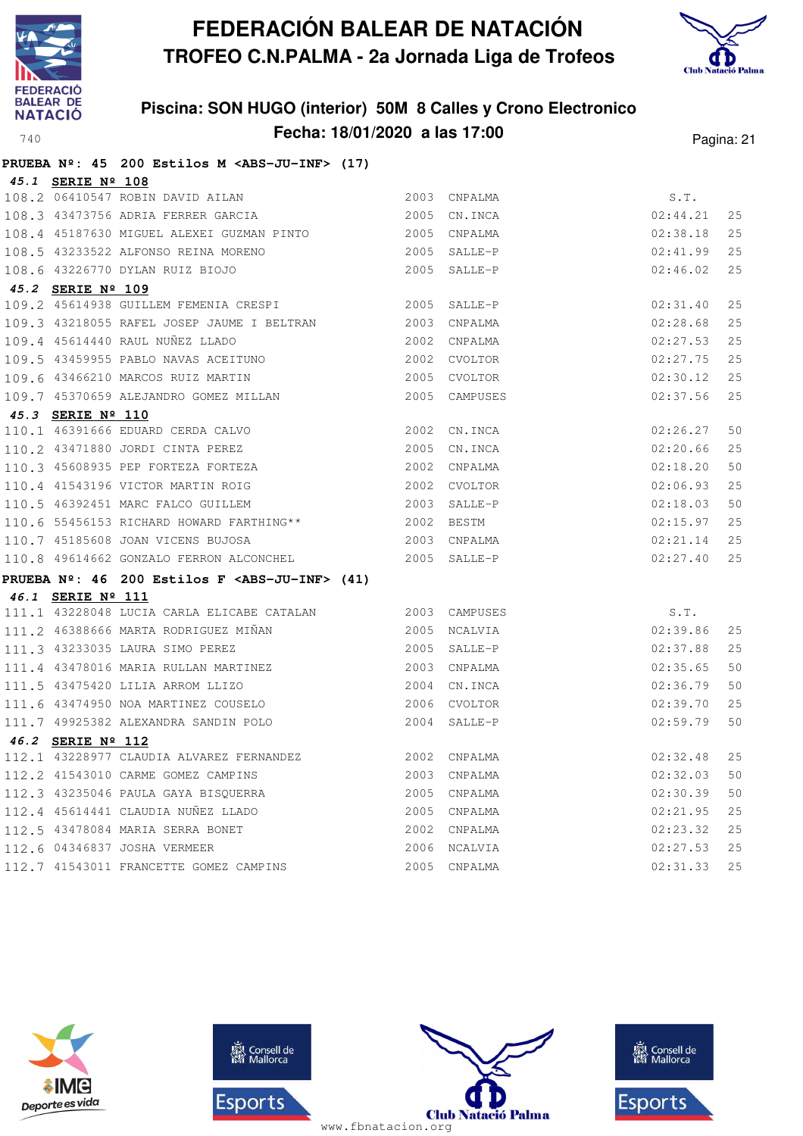



|                   | PRUEBA $N^2$ : 45 200 Estilos M <abs-ju-inf> (17)</abs-ju-inf>                                        |                              |              |               |    |
|-------------------|-------------------------------------------------------------------------------------------------------|------------------------------|--------------|---------------|----|
| 45.1 SERIE Nº 108 |                                                                                                       |                              |              |               |    |
|                   | 108.2 06410547 ROBIN DAVID AILAN                                                                      |                              | 2003 CNPALMA | S.T.          |    |
|                   | 108.3 43473756 ADRIA FERRER GARCIA 2005 CN.INCA                                                       |                              |              | 02:44.21      | 25 |
|                   | 108.4 45187630 MIGUEL ALEXEI GUZMAN PINTO 2005 CNPALMA                                                |                              |              | 02:38.18      | 25 |
|                   | 108.5 43233522 ALFONSO REINA MORENO                                                                   |                              | 2005 SALLE-P | 02:41.99      | 25 |
|                   | 108.6 43226770 DYLAN RUIZ BIOJO                                                                       | $2005$ SALLE-P               |              | 02:46.02      | 25 |
| 45.2 SERIE Nº 109 |                                                                                                       |                              |              |               |    |
|                   | 109.2 45614938 GUILLEM FEMENIA CRESPI 2005 SALLE-P                                                    |                              |              | 02:31.40      | 25 |
|                   | 109.3 43218055 RAFEL JOSEP JAUME I BELTRAN 2003 CNPALMA                                               |                              |              | 02:28.68      | 25 |
|                   | 109.4 45614440 RAUL NUÑEZ LLADO                                                                       | 2002 CNPALMA                 |              | 02:27.53      | 25 |
|                   | 109.5 43459955 PABLO NAVAS ACEITUNO 2002 CVOLTOR                                                      |                              |              | 02:27.75      | 25 |
|                   | 109.6 43466210 MARCOS RUIZ MARTIN 2005 CVOLTOR<br>109.7 45370659 ALEJANDRO GOMEZ MILLAN 2005 CAMPUSES |                              |              | 02:30.12      | 25 |
|                   |                                                                                                       |                              |              | 02:37.56      | 25 |
| 45.3 SERIE Nº 110 |                                                                                                       |                              |              |               |    |
|                   | 110.1 46391666 EDUARD CERDA CALVO 2002 CN.INCA                                                        |                              |              | 02:26.27      | 50 |
|                   | 110.2 43471880 JORDI CINTA PEREZ                                                                      | 2005 CN.INCA                 |              | 02:20.66      | 25 |
|                   | 110.3 45608935 PEP FORTEZA FORTEZA                                                                    | 2002 CNPALMA                 |              | 02:18.20      | 50 |
|                   | 110.4 41543196 VICTOR MARTIN ROIG                                                                     | 2002 CVOLTOR<br>2003 SALLE-P |              | 02:06.93      | 25 |
|                   | 110.5 46392451 MARC FALCO GUILLEM                                                                     |                              |              | 02:18.03      | 50 |
|                   | 110.6 55456153 RICHARD HOWARD FARTHING** 2002 BESTM                                                   |                              |              | 02:15.97      | 25 |
|                   | 110.7 45185608 JOAN VICENS BUJOSA 2003 CNPALMA                                                        |                              |              | 02:21.14      | 25 |
|                   | 110.8 49614662 GONZALO FERRON ALCONCHEL 2005 SALLE-P                                                  |                              |              | 02:27.40      | 25 |
|                   | PRUEBA Nº: 46 200 Estilos F <abs-ju-inf> (41)</abs-ju-inf>                                            |                              |              |               |    |
| 46.1 SERIE Nº 111 |                                                                                                       |                              |              |               |    |
|                   | 111.1 43228048 LUCIA CARLA ELICABE CATALAN 2003 CAMPUSES                                              |                              |              | S.T.          |    |
|                   | 111.2 46388666 MARTA RODRIGUEZ MIÑAN 2005 NCALVIA<br>111.3 43233035 LAURA SIMO PEREZ 2005 SALLE-P     |                              |              | 02:39.86      | 25 |
|                   |                                                                                                       |                              |              | 02:37.88      | 25 |
|                   | 111.4 43478016 MARIA RULLAN MARTINEZ 2003 CNPALMA                                                     |                              |              | 02:35.65      | 50 |
|                   | 111.5 43475420 LILIA ARROM LLIZO 2004 CN.INCA<br>111.6 43474950 NOA MARTINEZ COUSELO 2006 CVOLTOR     |                              |              | 02:36.79      | 50 |
|                   |                                                                                                       |                              |              | 02:39.70      | 25 |
|                   | 111.7 49925382 ALEXANDRA SANDIN POLO 2004 SALLE-P                                                     |                              |              | 02:59.79      | 50 |
| 46.2 SERIE Nº 112 |                                                                                                       |                              |              |               |    |
|                   | 112.1 43228977 CLAUDIA ALVAREZ FERNANDEZ 2002 CNPALMA                                                 |                              |              | $02:32.48$ 25 |    |
|                   | 112.2 41543010 CARME GOMEZ CAMPINS                                                                    |                              | 2003 CNPALMA | 02:32.03      | 50 |
|                   | 112.3 43235046 PAULA GAYA BISQUERRA                                                                   |                              | 2005 CNPALMA | 02:30.39      | 50 |
|                   | 112.4 45614441 CLAUDIA NUÑEZ LLADO                                                                    |                              | 2005 CNPALMA | 02:21.95      | 25 |
|                   | 112.5 43478084 MARIA SERRA BONET                                                                      |                              | 2002 CNPALMA | 02:23.32      | 25 |
|                   | 112.6 04346837 JOSHA VERMEER                                                                          |                              | 2006 NCALVIA | 02:27.53      | 25 |
|                   | 112.7 41543011 FRANCETTE GOMEZ CAMPINS                                                                |                              | 2005 CNPALMA | 02:31.33      | 25 |